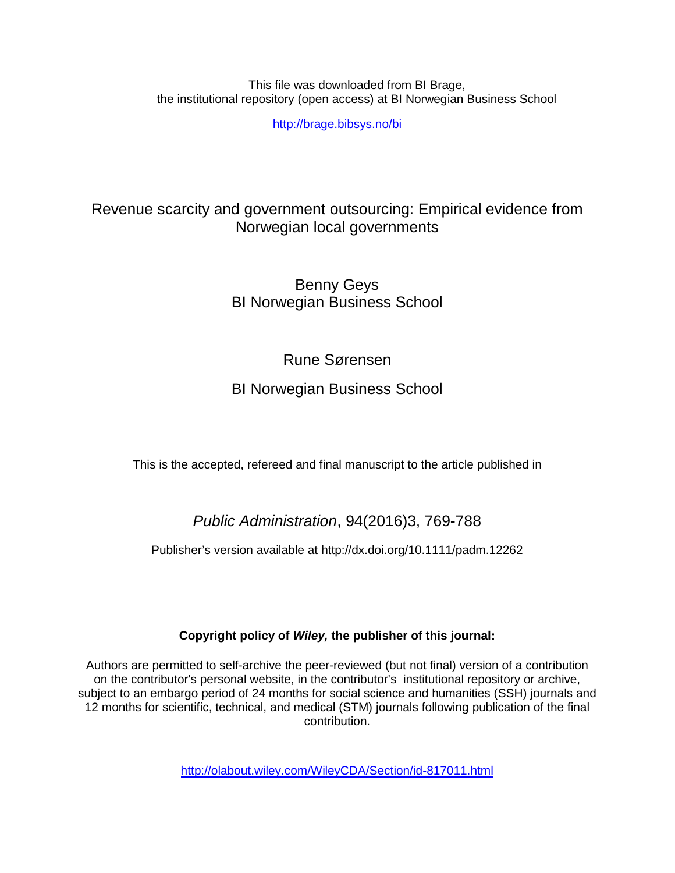This file was downloaded from BI Brage, the institutional repository (open access) at BI Norwegian Business School

http://brage.bibsys.no/bi

# Revenue scarcity and government outsourcing: Empirical evidence from Norwegian local governments

Benny Geys BI Norwegian Business School

# Rune Sørensen

# BI Norwegian Business School

This is the accepted, refereed and final manuscript to the article published in

# *Public Administration*, 94(2016)3, 769-788

Publisher's version available at http://dx.doi.org/10.1111/padm.12262

# **Copyright policy of** *Wiley,* **the publisher of this journal:**

Authors are permitted to self-archive the peer-reviewed (but not final) version of a contribution on the contributor's personal website, in the contributor's institutional repository or archive, subject to an embargo period of 24 months for social science and humanities (SSH) journals and 12 months for scientific, technical, and medical (STM) journals following publication of the final contribution.

<http://olabout.wiley.com/WileyCDA/Section/id-817011.html>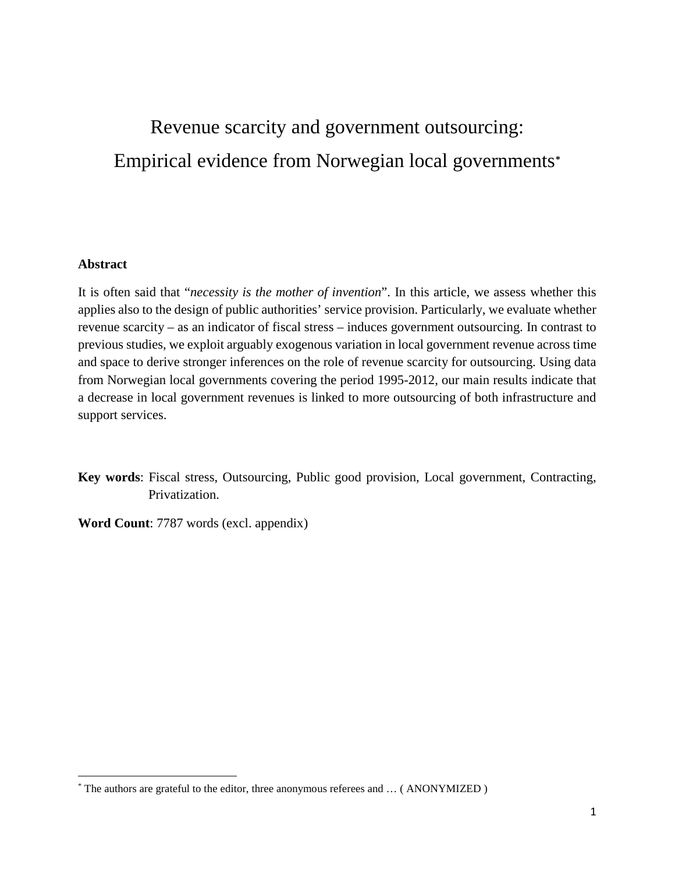# Revenue scarcity and government outsourcing: Empirical evidence from Norwegian local governments**[\\*](#page-1-0)**

## **Abstract**

 $\overline{a}$ 

It is often said that "*necessity is the mother of invention*". In this article, we assess whether this applies also to the design of public authorities' service provision. Particularly, we evaluate whether revenue scarcity – as an indicator of fiscal stress – induces government outsourcing. In contrast to previous studies, we exploit arguably exogenous variation in local government revenue across time and space to derive stronger inferences on the role of revenue scarcity for outsourcing. Using data from Norwegian local governments covering the period 1995-2012, our main results indicate that a decrease in local government revenues is linked to more outsourcing of both infrastructure and support services.

- **Key words**: Fiscal stress, Outsourcing, Public good provision, Local government, Contracting, Privatization.
- **Word Count**: 7787 words (excl. appendix)

<span id="page-1-0"></span><sup>\*</sup> The authors are grateful to the editor, three anonymous referees and … ( ANONYMIZED )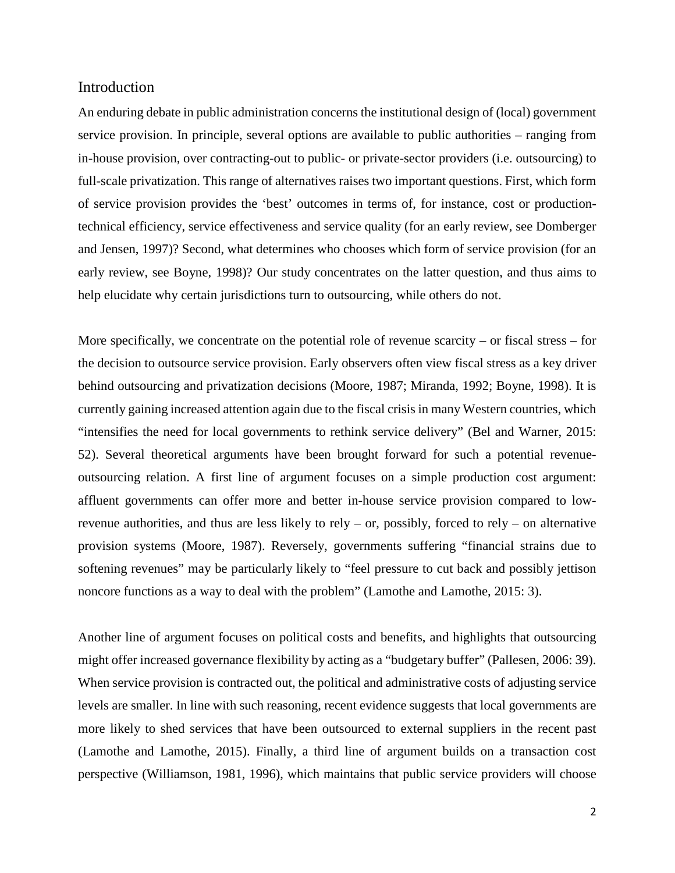## **Introduction**

An enduring debate in public administration concerns the institutional design of (local) government service provision. In principle, several options are available to public authorities – ranging from in-house provision, over contracting-out to public- or private-sector providers (i.e. outsourcing) to full-scale privatization. This range of alternatives raises two important questions. First, which form of service provision provides the 'best' outcomes in terms of, for instance, cost or productiontechnical efficiency, service effectiveness and service quality (for an early review, see Domberger and Jensen, 1997)? Second, what determines who chooses which form of service provision (for an early review, see Boyne, 1998)? Our study concentrates on the latter question, and thus aims to help elucidate why certain jurisdictions turn to outsourcing, while others do not.

More specifically, we concentrate on the potential role of revenue scarcity – or fiscal stress – for the decision to outsource service provision. Early observers often view fiscal stress as a key driver behind outsourcing and privatization decisions (Moore, 1987; Miranda, 1992; Boyne, 1998). It is currently gaining increased attention again due to the fiscal crisis in many Western countries, which "intensifies the need for local governments to rethink service delivery" (Bel and Warner, 2015: 52). Several theoretical arguments have been brought forward for such a potential revenueoutsourcing relation. A first line of argument focuses on a simple production cost argument: affluent governments can offer more and better in-house service provision compared to lowrevenue authorities, and thus are less likely to rely – or, possibly, forced to rely – on alternative provision systems (Moore, 1987). Reversely, governments suffering "financial strains due to softening revenues" may be particularly likely to "feel pressure to cut back and possibly jettison noncore functions as a way to deal with the problem" (Lamothe and Lamothe, 2015: 3).

Another line of argument focuses on political costs and benefits, and highlights that outsourcing might offer increased governance flexibility by acting as a "budgetary buffer" (Pallesen, 2006: 39). When service provision is contracted out, the political and administrative costs of adjusting service levels are smaller. In line with such reasoning, recent evidence suggests that local governments are more likely to shed services that have been outsourced to external suppliers in the recent past (Lamothe and Lamothe, 2015). Finally, a third line of argument builds on a transaction cost perspective (Williamson, 1981, 1996), which maintains that public service providers will choose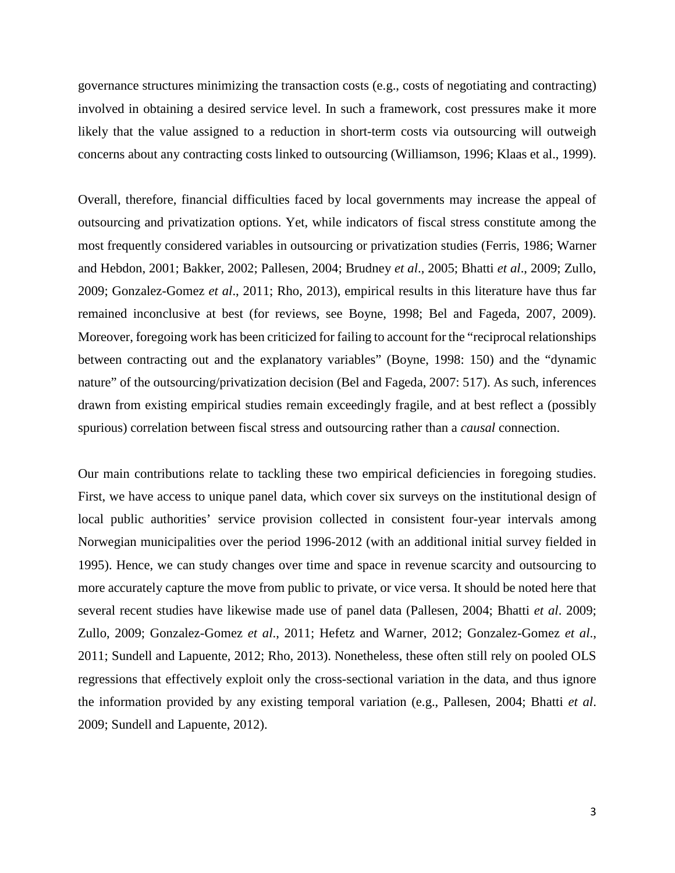governance structures minimizing the transaction costs (e.g., costs of negotiating and contracting) involved in obtaining a desired service level. In such a framework, cost pressures make it more likely that the value assigned to a reduction in short-term costs via outsourcing will outweigh concerns about any contracting costs linked to outsourcing (Williamson, 1996; Klaas et al., 1999).

Overall, therefore, financial difficulties faced by local governments may increase the appeal of outsourcing and privatization options. Yet, while indicators of fiscal stress constitute among the most frequently considered variables in outsourcing or privatization studies (Ferris, 1986; Warner and Hebdon, 2001; Bakker, 2002; Pallesen, 2004; Brudney *et al*., 2005; Bhatti *et al*., 2009; Zullo, 2009; Gonzalez-Gomez *et al*., 2011; Rho, 2013), empirical results in this literature have thus far remained inconclusive at best (for reviews, see Boyne, 1998; Bel and Fageda, 2007, 2009). Moreover, foregoing work has been criticized for failing to account for the "reciprocal relationships between contracting out and the explanatory variables" (Boyne, 1998: 150) and the "dynamic nature" of the outsourcing/privatization decision (Bel and Fageda, 2007: 517). As such, inferences drawn from existing empirical studies remain exceedingly fragile, and at best reflect a (possibly spurious) correlation between fiscal stress and outsourcing rather than a *causal* connection.

Our main contributions relate to tackling these two empirical deficiencies in foregoing studies. First, we have access to unique panel data, which cover six surveys on the institutional design of local public authorities' service provision collected in consistent four-year intervals among Norwegian municipalities over the period 1996-2012 (with an additional initial survey fielded in 1995). Hence, we can study changes over time and space in revenue scarcity and outsourcing to more accurately capture the move from public to private, or vice versa. It should be noted here that several recent studies have likewise made use of panel data (Pallesen, 2004; Bhatti *et al*. 2009; Zullo, 2009; Gonzalez-Gomez *et al*., 2011; Hefetz and Warner, 2012; Gonzalez-Gomez *et al*., 2011; Sundell and Lapuente, 2012; Rho, 2013). Nonetheless, these often still rely on pooled OLS regressions that effectively exploit only the cross-sectional variation in the data, and thus ignore the information provided by any existing temporal variation (e.g., Pallesen, 2004; Bhatti *et al*. 2009; Sundell and Lapuente, 2012).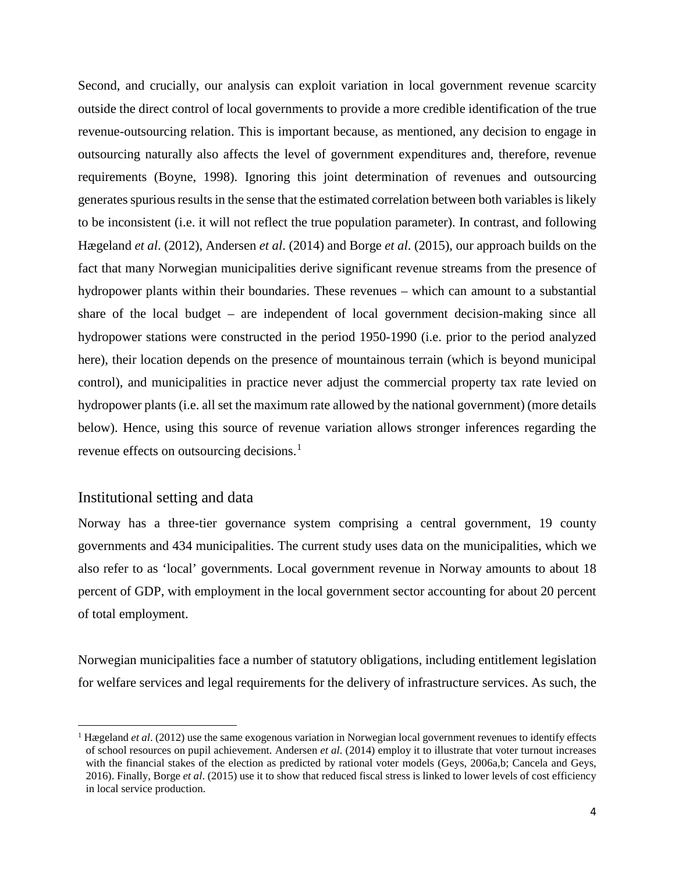Second, and crucially, our analysis can exploit variation in local government revenue scarcity outside the direct control of local governments to provide a more credible identification of the true revenue-outsourcing relation. This is important because, as mentioned, any decision to engage in outsourcing naturally also affects the level of government expenditures and, therefore, revenue requirements (Boyne, 1998). Ignoring this joint determination of revenues and outsourcing generates spurious results in the sense that the estimated correlation between both variables is likely to be inconsistent (i.e. it will not reflect the true population parameter). In contrast, and following Hægeland *et al*. (2012), Andersen *et al*. (2014) and Borge *et al*. (2015), our approach builds on the fact that many Norwegian municipalities derive significant revenue streams from the presence of hydropower plants within their boundaries. These revenues – which can amount to a substantial share of the local budget – are independent of local government decision-making since all hydropower stations were constructed in the period 1950-1990 (i.e. prior to the period analyzed here), their location depends on the presence of mountainous terrain (which is beyond municipal control), and municipalities in practice never adjust the commercial property tax rate levied on hydropower plants (i.e. all set the maximum rate allowed by the national government) (more details below). Hence, using this source of revenue variation allows stronger inferences regarding the revenue effects on outsourcing decisions.<sup>[1](#page-4-0)</sup>

# Institutional setting and data

 $\overline{a}$ 

Norway has a three-tier governance system comprising a central government, 19 county governments and 434 municipalities. The current study uses data on the municipalities, which we also refer to as 'local' governments. Local government revenue in Norway amounts to about 18 percent of GDP, with employment in the local government sector accounting for about 20 percent of total employment.

Norwegian municipalities face a number of statutory obligations, including entitlement legislation for welfare services and legal requirements for the delivery of infrastructure services. As such, the

<span id="page-4-0"></span><sup>1</sup> Hægeland *et al*. (2012) use the same exogenous variation in Norwegian local government revenues to identify effects of school resources on pupil achievement. Andersen *et al*. (2014) employ it to illustrate that voter turnout increases with the financial stakes of the election as predicted by rational voter models (Geys, 2006a,b; Cancela and Geys, 2016). Finally, Borge *et al*. (2015) use it to show that reduced fiscal stress is linked to lower levels of cost efficiency in local service production.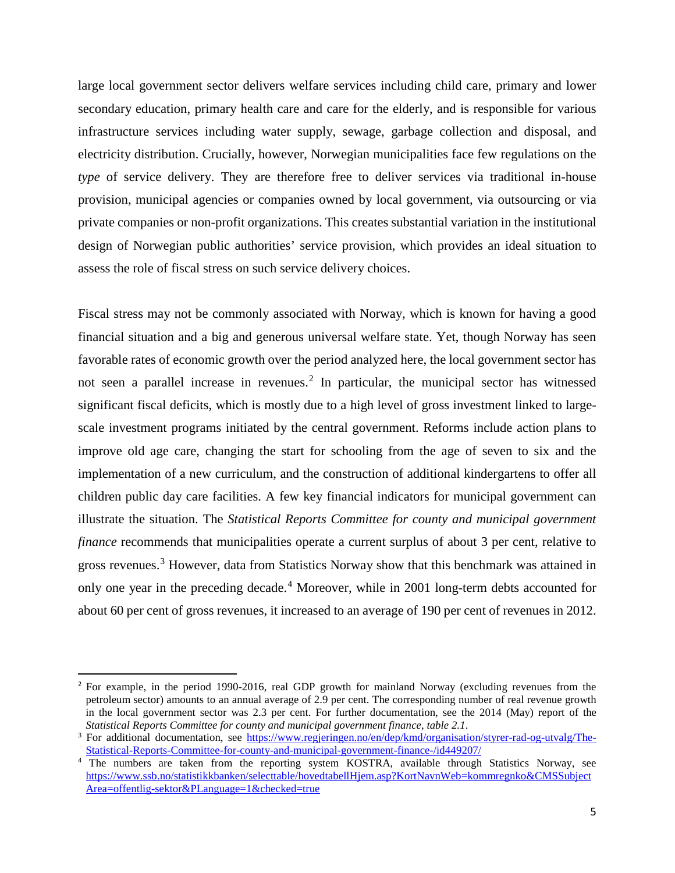large local government sector delivers welfare services including child care, primary and lower secondary education, primary health care and care for the elderly, and is responsible for various infrastructure services including water supply, sewage, garbage collection and disposal, and electricity distribution. Crucially, however, Norwegian municipalities face few regulations on the *type* of service delivery. They are therefore free to deliver services via traditional in-house provision, municipal agencies or companies owned by local government, via outsourcing or via private companies or non-profit organizations. This creates substantial variation in the institutional design of Norwegian public authorities' service provision, which provides an ideal situation to assess the role of fiscal stress on such service delivery choices.

Fiscal stress may not be commonly associated with Norway, which is known for having a good financial situation and a big and generous universal welfare state. Yet, though Norway has seen favorable rates of economic growth over the period analyzed here, the local government sector has not seen a parallel increase in revenues. [2](#page-5-0) In particular, the municipal sector has witnessed significant fiscal deficits, which is mostly due to a high level of gross investment linked to largescale investment programs initiated by the central government. Reforms include action plans to improve old age care, changing the start for schooling from the age of seven to six and the implementation of a new curriculum, and the construction of additional kindergartens to offer all children public day care facilities. A few key financial indicators for municipal government can illustrate the situation. The *Statistical Reports Committee for county and municipal government finance* recommends that municipalities operate a current surplus of about 3 per cent, relative to gross revenues.<sup>[3](#page-5-1)</sup> However, data from Statistics Norway show that this benchmark was attained in only one year in the preceding decade. [4](#page-5-2) Moreover, while in 2001 long-term debts accounted for about 60 per cent of gross revenues, it increased to an average of 190 per cent of revenues in 2012.

<span id="page-5-0"></span><sup>&</sup>lt;sup>2</sup> For example, in the period 1990-2016, real GDP growth for mainland Norway (excluding revenues from the petroleum sector) amounts to an annual average of 2.9 per cent. The corresponding number of real revenue growth in the local government sector was 2.3 per cent. For further documentation, see the 2014 (May) report of the *Statistical Reports Committee for county and municipal government finance, table 2.1*.

<span id="page-5-1"></span><sup>&</sup>lt;sup>3</sup> For additional documentation, see [https://www.regjeringen.no/en/dep/kmd/organisation/styrer-rad-og-utvalg/The-](https://www.regjeringen.no/en/dep/kmd/organisation/styrer-rad-og-utvalg/The-Statistical-Reports-Committee-for-county-and-municipal-government-finance-/id449207/)[Statistical-Reports-Committee-for-county-and-municipal-government-finance-/id449207/](https://www.regjeringen.no/en/dep/kmd/organisation/styrer-rad-og-utvalg/The-Statistical-Reports-Committee-for-county-and-municipal-government-finance-/id449207/)

<span id="page-5-2"></span><sup>&</sup>lt;sup>4</sup> The numbers are taken from the reporting system KOSTRA, available through Statistics Norway, see [https://www.ssb.no/statistikkbanken/selecttable/hovedtabellHjem.asp?KortNavnWeb=kommregnko&CMSSubject](https://www.ssb.no/statistikkbanken/selecttable/hovedtabellHjem.asp?KortNavnWeb=kommregnko&CMSSubjectArea=offentlig-sektor&PLanguage=1&checked=true) [Area=offentlig-sektor&PLanguage=1&checked=true](https://www.ssb.no/statistikkbanken/selecttable/hovedtabellHjem.asp?KortNavnWeb=kommregnko&CMSSubjectArea=offentlig-sektor&PLanguage=1&checked=true)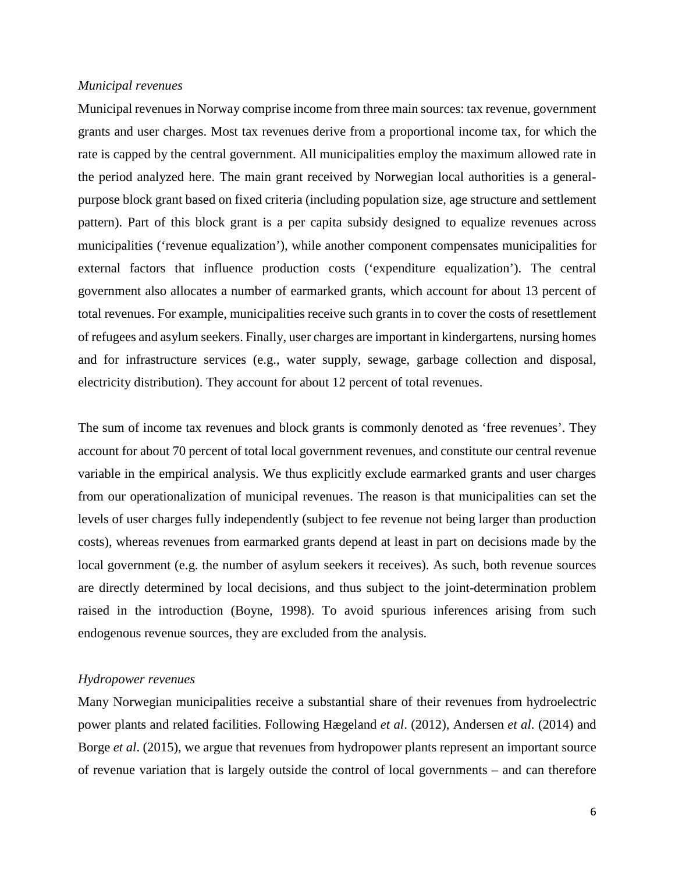### *Municipal revenues*

Municipal revenues in Norway comprise income from three main sources: tax revenue, government grants and user charges. Most tax revenues derive from a proportional income tax, for which the rate is capped by the central government. All municipalities employ the maximum allowed rate in the period analyzed here. The main grant received by Norwegian local authorities is a generalpurpose block grant based on fixed criteria (including population size, age structure and settlement pattern). Part of this block grant is a per capita subsidy designed to equalize revenues across municipalities ('revenue equalization'), while another component compensates municipalities for external factors that influence production costs ('expenditure equalization'). The central government also allocates a number of earmarked grants, which account for about 13 percent of total revenues. For example, municipalities receive such grants in to cover the costs of resettlement of refugees and asylum seekers. Finally, user charges are important in kindergartens, nursing homes and for infrastructure services (e.g., water supply, sewage, garbage collection and disposal, electricity distribution). They account for about 12 percent of total revenues.

The sum of income tax revenues and block grants is commonly denoted as 'free revenues'. They account for about 70 percent of total local government revenues, and constitute our central revenue variable in the empirical analysis. We thus explicitly exclude earmarked grants and user charges from our operationalization of municipal revenues. The reason is that municipalities can set the levels of user charges fully independently (subject to fee revenue not being larger than production costs), whereas revenues from earmarked grants depend at least in part on decisions made by the local government (e.g. the number of asylum seekers it receives). As such, both revenue sources are directly determined by local decisions, and thus subject to the joint-determination problem raised in the introduction (Boyne, 1998). To avoid spurious inferences arising from such endogenous revenue sources, they are excluded from the analysis.

## *Hydropower revenues*

Many Norwegian municipalities receive a substantial share of their revenues from hydroelectric power plants and related facilities. Following Hægeland *et al*. (2012), Andersen *et al*. (2014) and Borge *et al*. (2015), we argue that revenues from hydropower plants represent an important source of revenue variation that is largely outside the control of local governments – and can therefore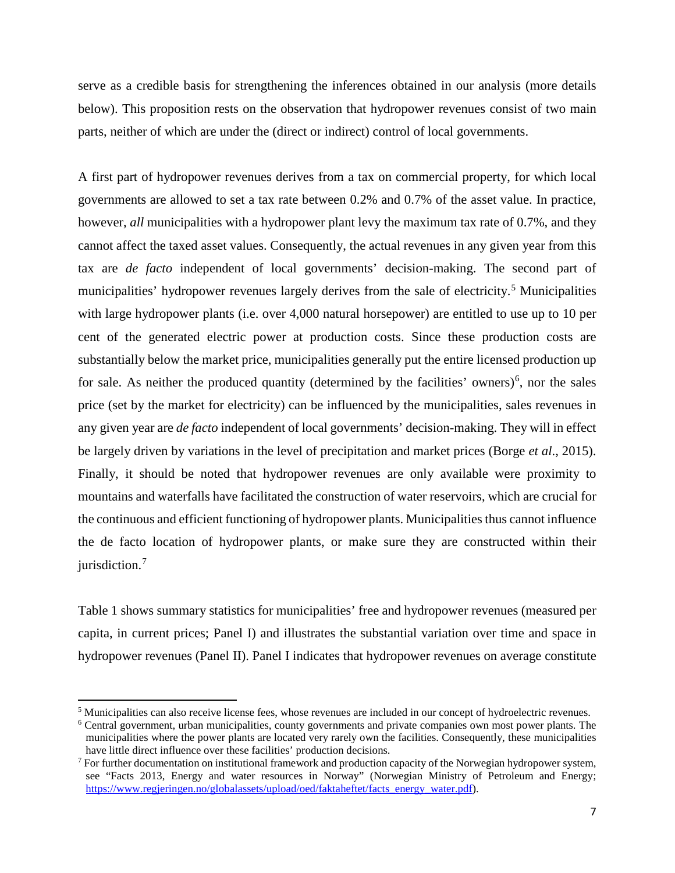serve as a credible basis for strengthening the inferences obtained in our analysis (more details below). This proposition rests on the observation that hydropower revenues consist of two main parts, neither of which are under the (direct or indirect) control of local governments.

A first part of hydropower revenues derives from a tax on commercial property, for which local governments are allowed to set a tax rate between 0.2% and 0.7% of the asset value. In practice, however, *all* municipalities with a hydropower plant levy the maximum tax rate of 0.7%, and they cannot affect the taxed asset values. Consequently, the actual revenues in any given year from this tax are *de facto* independent of local governments' decision-making. The second part of municipalities' hydropower revenues largely derives from the sale of electricity.<sup>[5](#page-7-0)</sup> Municipalities with large hydropower plants (i.e. over 4,000 natural horsepower) are entitled to use up to 10 per cent of the generated electric power at production costs. Since these production costs are substantially below the market price, municipalities generally put the entire licensed production up for sale. As neither the produced quantity (determined by the facilities' owners)<sup>[6](#page-7-1)</sup>, nor the sales price (set by the market for electricity) can be influenced by the municipalities, sales revenues in any given year are *de facto* independent of local governments' decision-making. They will in effect be largely driven by variations in the level of precipitation and market prices (Borge *et al*., 2015). Finally, it should be noted that hydropower revenues are only available were proximity to mountains and waterfalls have facilitated the construction of water reservoirs, which are crucial for the continuous and efficient functioning of hydropower plants. Municipalities thus cannot influence the de facto location of hydropower plants, or make sure they are constructed within their jurisdiction. [7](#page-7-2)

Table 1 shows summary statistics for municipalities' free and hydropower revenues (measured per capita, in current prices; Panel I) and illustrates the substantial variation over time and space in hydropower revenues (Panel II). Panel I indicates that hydropower revenues on average constitute

 $\overline{a}$ 

<span id="page-7-1"></span><span id="page-7-0"></span><sup>5</sup> Municipalities can also receive license fees, whose revenues are included in our concept of hydroelectric revenues.

<sup>&</sup>lt;sup>6</sup> Central government, urban municipalities, county governments and private companies own most power plants. The municipalities where the power plants are located very rarely own the facilities. Consequently, these municipalities have little direct influence over these facilities' production decisions.

<span id="page-7-2"></span> $7$  For further documentation on institutional framework and production capacity of the Norwegian hydropower system, see "Facts 2013, Energy and water resources in Norway" (Norwegian Ministry of Petroleum and Energy; [https://www.regjeringen.no/globalassets/upload/oed/faktaheftet/facts\\_energy\\_water.pdf\)](https://www.regjeringen.no/globalassets/upload/oed/faktaheftet/facts_energy_water.pdf).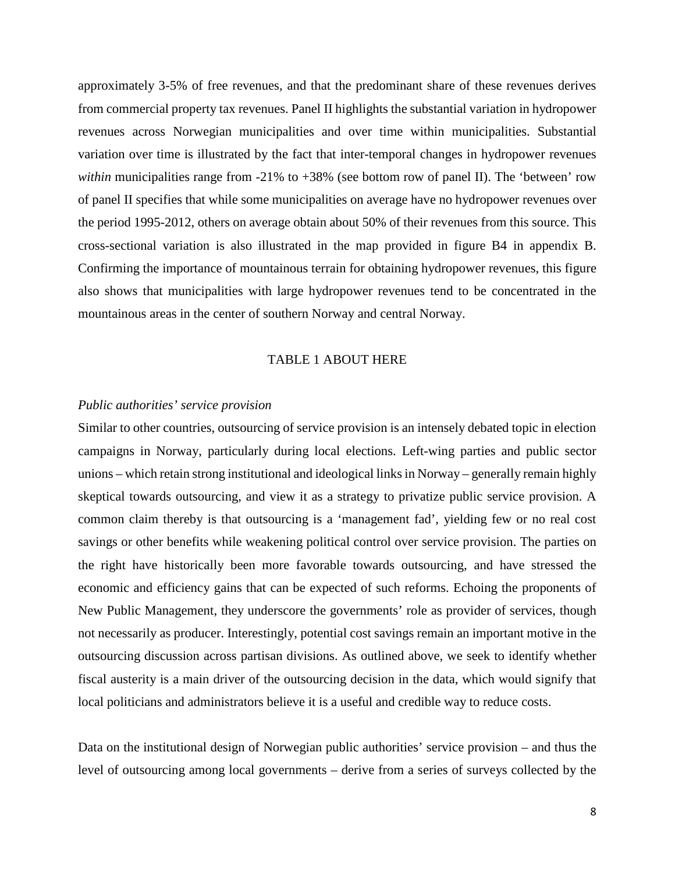approximately 3-5% of free revenues, and that the predominant share of these revenues derives from commercial property tax revenues. Panel II highlights the substantial variation in hydropower revenues across Norwegian municipalities and over time within municipalities. Substantial variation over time is illustrated by the fact that inter-temporal changes in hydropower revenues *within* municipalities range from -21% to +38% (see bottom row of panel II). The 'between' row of panel II specifies that while some municipalities on average have no hydropower revenues over the period 1995-2012, others on average obtain about 50% of their revenues from this source. This cross-sectional variation is also illustrated in the map provided in figure B4 in appendix B. Confirming the importance of mountainous terrain for obtaining hydropower revenues, this figure also shows that municipalities with large hydropower revenues tend to be concentrated in the mountainous areas in the center of southern Norway and central Norway.

#### TABLE 1 ABOUT HERE

### *Public authorities' service provision*

Similar to other countries, outsourcing of service provision is an intensely debated topic in election campaigns in Norway, particularly during local elections. Left-wing parties and public sector unions – which retain strong institutional and ideological links in Norway – generally remain highly skeptical towards outsourcing, and view it as a strategy to privatize public service provision. A common claim thereby is that outsourcing is a 'management fad', yielding few or no real cost savings or other benefits while weakening political control over service provision. The parties on the right have historically been more favorable towards outsourcing, and have stressed the economic and efficiency gains that can be expected of such reforms. Echoing the proponents of New Public Management, they underscore the governments' role as provider of services, though not necessarily as producer. Interestingly, potential cost savings remain an important motive in the outsourcing discussion across partisan divisions. As outlined above, we seek to identify whether fiscal austerity is a main driver of the outsourcing decision in the data, which would signify that local politicians and administrators believe it is a useful and credible way to reduce costs.

Data on the institutional design of Norwegian public authorities' service provision – and thus the level of outsourcing among local governments – derive from a series of surveys collected by the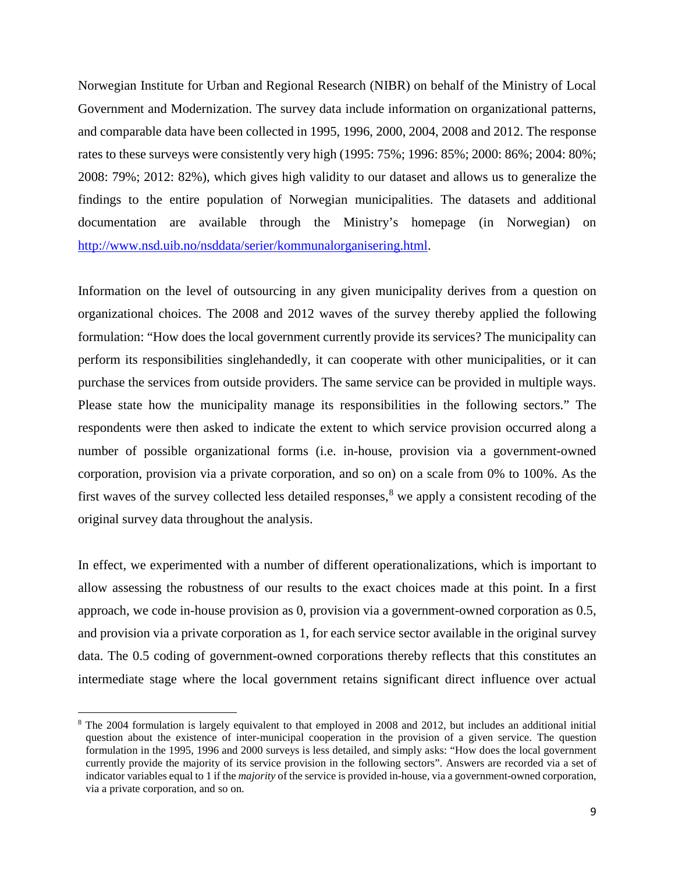Norwegian Institute for Urban and Regional Research (NIBR) on behalf of the Ministry of Local Government and Modernization. The survey data include information on organizational patterns, and comparable data have been collected in 1995, 1996, 2000, 2004, 2008 and 2012. The response rates to these surveys were consistently very high (1995: 75%; 1996: 85%; 2000: 86%; 2004: 80%; 2008: 79%; 2012: 82%), which gives high validity to our dataset and allows us to generalize the findings to the entire population of Norwegian municipalities. The datasets and additional documentation are available through the Ministry's homepage (in Norwegian) on [http://www.nsd.uib.no/nsddata/serier/kommunalorganisering.html.](http://www.nsd.uib.no/nsddata/serier/kommunalorganisering.html)

Information on the level of outsourcing in any given municipality derives from a question on organizational choices. The 2008 and 2012 waves of the survey thereby applied the following formulation: "How does the local government currently provide its services? The municipality can perform its responsibilities singlehandedly, it can cooperate with other municipalities, or it can purchase the services from outside providers. The same service can be provided in multiple ways. Please state how the municipality manage its responsibilities in the following sectors." The respondents were then asked to indicate the extent to which service provision occurred along a number of possible organizational forms (i.e. in-house, provision via a government-owned corporation, provision via a private corporation, and so on) on a scale from 0% to 100%. As the first waves of the survey collected less detailed responses, $8$  we apply a consistent recoding of the original survey data throughout the analysis.

In effect, we experimented with a number of different operationalizations, which is important to allow assessing the robustness of our results to the exact choices made at this point. In a first approach, we code in-house provision as 0, provision via a government-owned corporation as 0.5, and provision via a private corporation as 1, for each service sector available in the original survey data. The 0.5 coding of government-owned corporations thereby reflects that this constitutes an intermediate stage where the local government retains significant direct influence over actual

 $\overline{a}$ 

<span id="page-9-0"></span><sup>&</sup>lt;sup>8</sup> The 2004 formulation is largely equivalent to that employed in 2008 and 2012, but includes an additional initial question about the existence of inter-municipal cooperation in the provision of a given service. The question formulation in the 1995, 1996 and 2000 surveys is less detailed, and simply asks: "How does the local government currently provide the majority of its service provision in the following sectors". Answers are recorded via a set of indicator variables equal to 1 if the *majority* of the service is provided in-house, via a government-owned corporation, via a private corporation, and so on.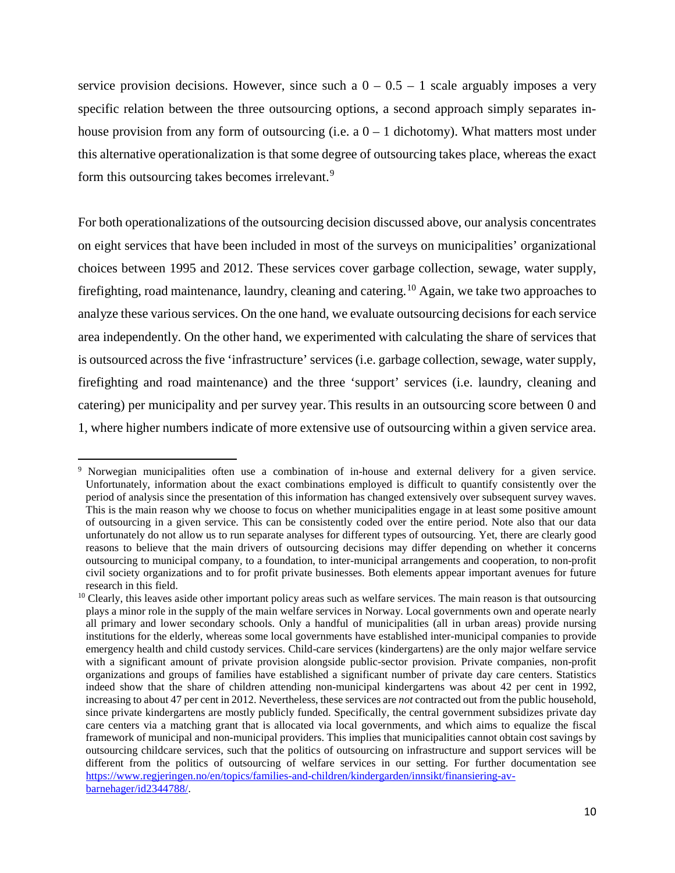service provision decisions. However, since such a  $0 - 0.5 - 1$  scale arguably imposes a very specific relation between the three outsourcing options, a second approach simply separates inhouse provision from any form of outsourcing (i.e. a  $0 - 1$  dichotomy). What matters most under this alternative operationalization is that some degree of outsourcing takes place, whereas the exact form this outsourcing takes becomes irrelevant.<sup>[9](#page-10-0)</sup>

For both operationalizations of the outsourcing decision discussed above, our analysis concentrates on eight services that have been included in most of the surveys on municipalities' organizational choices between 1995 and 2012. These services cover garbage collection, sewage, water supply, firefighting, road maintenance, laundry, cleaning and catering.<sup>[10](#page-10-1)</sup> Again, we take two approaches to analyze these various services. On the one hand, we evaluate outsourcing decisions for each service area independently. On the other hand, we experimented with calculating the share of services that is outsourced across the five 'infrastructure' services (i.e. garbage collection, sewage, water supply, firefighting and road maintenance) and the three 'support' services (i.e. laundry, cleaning and catering) per municipality and per survey year. This results in an outsourcing score between 0 and 1, where higher numbers indicate of more extensive use of outsourcing within a given service area.

 $\overline{a}$ 

<span id="page-10-0"></span><sup>&</sup>lt;sup>9</sup> Norwegian municipalities often use a combination of in-house and external delivery for a given service. Unfortunately, information about the exact combinations employed is difficult to quantify consistently over the period of analysis since the presentation of this information has changed extensively over subsequent survey waves. This is the main reason why we choose to focus on whether municipalities engage in at least some positive amount of outsourcing in a given service. This can be consistently coded over the entire period. Note also that our data unfortunately do not allow us to run separate analyses for different types of outsourcing. Yet, there are clearly good reasons to believe that the main drivers of outsourcing decisions may differ depending on whether it concerns outsourcing to municipal company, to a foundation, to inter-municipal arrangements and cooperation, to non-profit civil society organizations and to for profit private businesses. Both elements appear important avenues for future research in this field.

<span id="page-10-1"></span> $10$  Clearly, this leaves aside other important policy areas such as welfare services. The main reason is that outsourcing plays a minor role in the supply of the main welfare services in Norway. Local governments own and operate nearly all primary and lower secondary schools. Only a handful of municipalities (all in urban areas) provide nursing institutions for the elderly, whereas some local governments have established inter-municipal companies to provide emergency health and child custody services. Child-care services (kindergartens) are the only major welfare service with a significant amount of private provision alongside public-sector provision. Private companies, non-profit organizations and groups of families have established a significant number of private day care centers. Statistics indeed show that the share of children attending non-municipal kindergartens was about 42 per cent in 1992, increasing to about 47 per cent in 2012. Nevertheless, these services are *not* contracted out from the public household, since private kindergartens are mostly publicly funded. Specifically, the central government subsidizes private day care centers via a matching grant that is allocated via local governments, and which aims to equalize the fiscal framework of municipal and non-municipal providers. This implies that municipalities cannot obtain cost savings by outsourcing childcare services, such that the politics of outsourcing on infrastructure and support services will be different from the politics of outsourcing of welfare services in our setting. For further documentation see [https://www.regjeringen.no/en/topics/families-and-children/kindergarden/innsikt/finansiering-av](https://www.regjeringen.no/en/topics/families-and-children/kindergarden/innsikt/finansiering-av-barnehager/id2344788/)[barnehager/id2344788/.](https://www.regjeringen.no/en/topics/families-and-children/kindergarden/innsikt/finansiering-av-barnehager/id2344788/)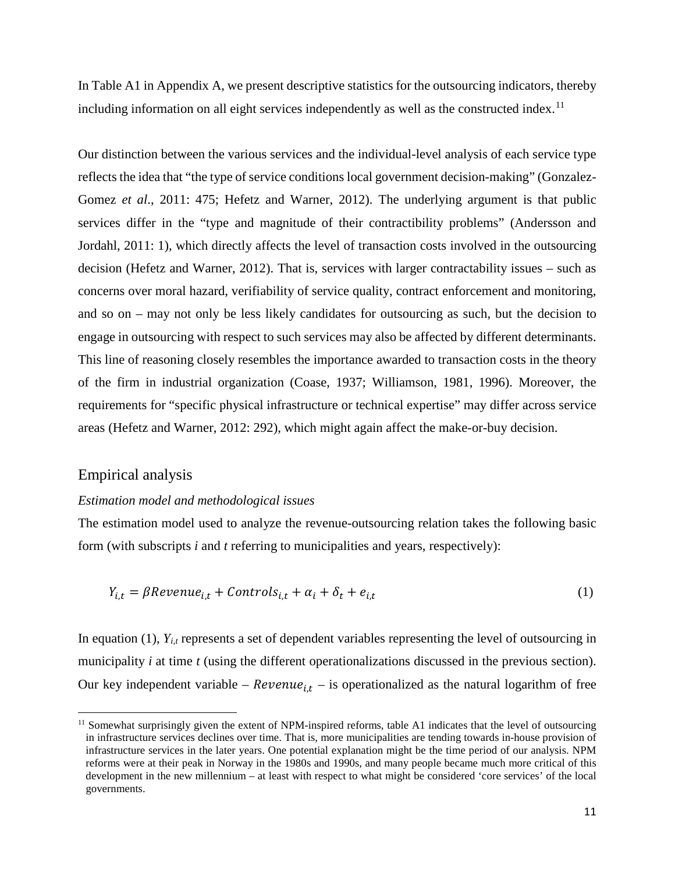In Table A1 in Appendix A, we present descriptive statistics for the outsourcing indicators, thereby including information on all eight services independently as well as the constructed index.<sup>[11](#page-11-0)</sup>

Our distinction between the various services and the individual-level analysis of each service type reflects the idea that "the type of service conditions local government decision-making" (Gonzalez-Gomez *et al*., 2011: 475; Hefetz and Warner, 2012). The underlying argument is that public services differ in the "type and magnitude of their contractibility problems" (Andersson and Jordahl, 2011: 1), which directly affects the level of transaction costs involved in the outsourcing decision (Hefetz and Warner, 2012). That is, services with larger contractability issues – such as concerns over moral hazard, verifiability of service quality, contract enforcement and monitoring, and so on – may not only be less likely candidates for outsourcing as such, but the decision to engage in outsourcing with respect to such services may also be affected by different determinants. This line of reasoning closely resembles the importance awarded to transaction costs in the theory of the firm in industrial organization (Coase, 1937; Williamson, 1981, 1996). Moreover, the requirements for "specific physical infrastructure or technical expertise" may differ across service areas (Hefetz and Warner, 2012: 292), which might again affect the make-or-buy decision.

## Empirical analysis

 $\overline{a}$ 

#### *Estimation model and methodological issues*

The estimation model used to analyze the revenue-outsourcing relation takes the following basic form (with subscripts *i* and *t* referring to municipalities and years, respectively):

$$
Y_{i,t} = \beta \text{Revenue}_{i,t} + \text{Controls}_{i,t} + \alpha_i + \delta_t + e_{i,t} \tag{1}
$$

In equation (1), *Yi,t* represents a set of dependent variables representing the level of outsourcing in municipality *i* at time *t* (using the different operationalizations discussed in the previous section). Our key independent variable –  $Revenue_{i,t}$  – is operationalized as the natural logarithm of free

<span id="page-11-0"></span><sup>&</sup>lt;sup>11</sup> Somewhat surprisingly given the extent of NPM-inspired reforms, table A1 indicates that the level of outsourcing in infrastructure services declines over time. That is, more municipalities are tending towards in-house provision of infrastructure services in the later years. One potential explanation might be the time period of our analysis. NPM reforms were at their peak in Norway in the 1980s and 1990s, and many people became much more critical of this development in the new millennium – at least with respect to what might be considered 'core services' of the local governments.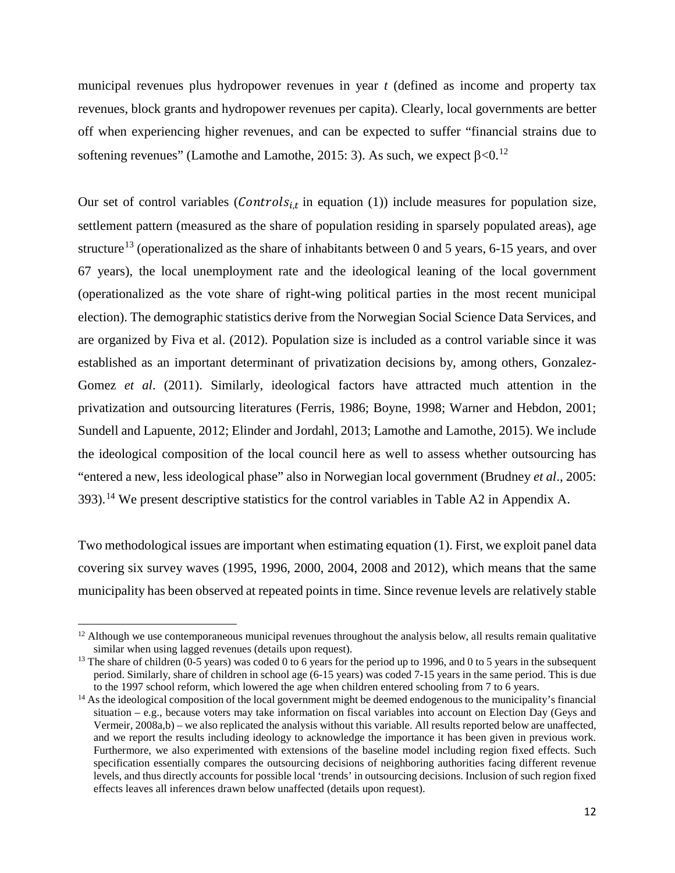municipal revenues plus hydropower revenues in year *t* (defined as income and property tax revenues, block grants and hydropower revenues per capita). Clearly, local governments are better off when experiencing higher revenues, and can be expected to suffer "financial strains due to softening revenues" (Lamothe and Lamothe, 2015: 3). As such, we expect  $\beta$ <0.<sup>[12](#page-12-0)</sup>

Our set of control variables (*Controls<sub>it</sub>* in equation (1)) include measures for population size, settlement pattern (measured as the share of population residing in sparsely populated areas), age structure<sup>[13](#page-12-1)</sup> (operationalized as the share of inhabitants between 0 and 5 years, 6-15 years, and over 67 years), the local unemployment rate and the ideological leaning of the local government (operationalized as the vote share of right-wing political parties in the most recent municipal election). The demographic statistics derive from the Norwegian Social Science Data Services, and are organized by Fiva et al. (2012). Population size is included as a control variable since it was established as an important determinant of privatization decisions by, among others, Gonzalez-Gomez *et al*. (2011). Similarly, ideological factors have attracted much attention in the privatization and outsourcing literatures (Ferris, 1986; Boyne, 1998; Warner and Hebdon, 2001; Sundell and Lapuente, 2012; Elinder and Jordahl, 2013; Lamothe and Lamothe, 2015). We include the ideological composition of the local council here as well to assess whether outsourcing has "entered a new, less ideological phase" also in Norwegian local government (Brudney *et al*., 2005: 393).<sup>[14](#page-12-2)</sup> We present descriptive statistics for the control variables in Table A2 in Appendix A.

Two methodological issues are important when estimating equation (1). First, we exploit panel data covering six survey waves (1995, 1996, 2000, 2004, 2008 and 2012), which means that the same municipality has been observed at repeated points in time. Since revenue levels are relatively stable

 $\overline{a}$ 

<span id="page-12-0"></span> $12$  Although we use contemporaneous municipal revenues throughout the analysis below, all results remain qualitative similar when using lagged revenues (details upon request).

<span id="page-12-1"></span><sup>&</sup>lt;sup>13</sup> The share of children ( $0-5$  years) was coded 0 to 6 years for the period up to 1996, and 0 to 5 years in the subsequent period. Similarly, share of children in school age (6-15 years) was coded 7-15 years in the same period. This is due to the 1997 school reform, which lowered the age when children entered schooling from 7 to 6 years.

<span id="page-12-2"></span><sup>&</sup>lt;sup>14</sup> As the ideological composition of the local government might be deemed endogenous to the municipality's financial situation – e.g., because voters may take information on fiscal variables into account on Election Day (Geys and Vermeir, 2008a,b) – we also replicated the analysis without this variable. All results reported below are unaffected, and we report the results including ideology to acknowledge the importance it has been given in previous work. Furthermore, we also experimented with extensions of the baseline model including region fixed effects. Such specification essentially compares the outsourcing decisions of neighboring authorities facing different revenue levels, and thus directly accounts for possible local 'trends' in outsourcing decisions. Inclusion of such region fixed effects leaves all inferences drawn below unaffected (details upon request).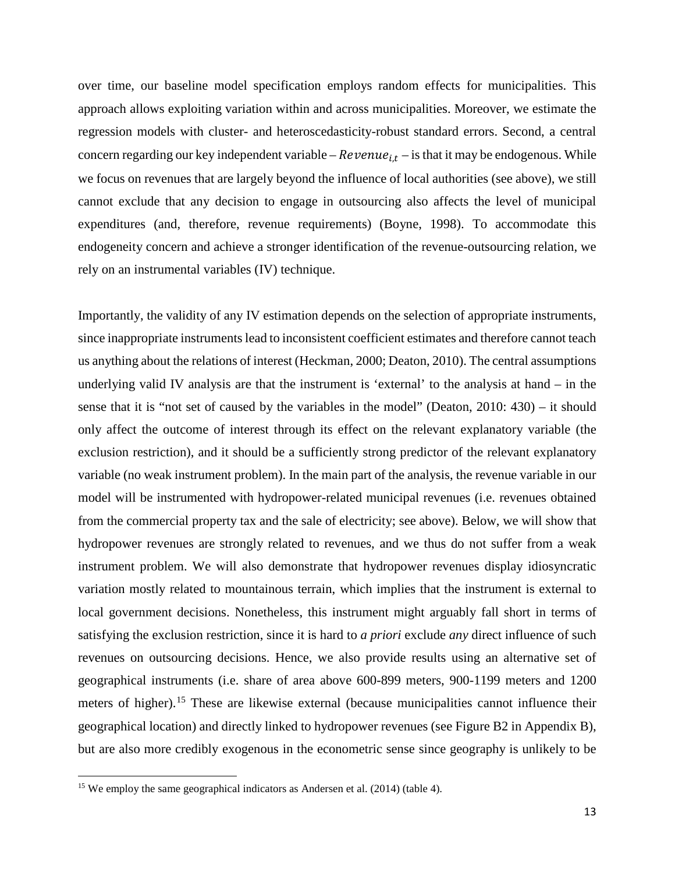over time, our baseline model specification employs random effects for municipalities. This approach allows exploiting variation within and across municipalities. Moreover, we estimate the regression models with cluster- and heteroscedasticity-robust standard errors. Second, a central concern regarding our key independent variable –  $Revenue_{i,t}$  – is that it may be endogenous. While we focus on revenues that are largely beyond the influence of local authorities (see above), we still cannot exclude that any decision to engage in outsourcing also affects the level of municipal expenditures (and, therefore, revenue requirements) (Boyne, 1998). To accommodate this endogeneity concern and achieve a stronger identification of the revenue-outsourcing relation, we rely on an instrumental variables (IV) technique.

Importantly, the validity of any IV estimation depends on the selection of appropriate instruments, since inappropriate instruments lead to inconsistent coefficient estimates and therefore cannot teach us anything about the relations of interest (Heckman, 2000; Deaton, 2010). The central assumptions underlying valid IV analysis are that the instrument is 'external' to the analysis at hand – in the sense that it is "not set of caused by the variables in the model" (Deaton, 2010: 430) – it should only affect the outcome of interest through its effect on the relevant explanatory variable (the exclusion restriction), and it should be a sufficiently strong predictor of the relevant explanatory variable (no weak instrument problem). In the main part of the analysis, the revenue variable in our model will be instrumented with hydropower-related municipal revenues (i.e. revenues obtained from the commercial property tax and the sale of electricity; see above). Below, we will show that hydropower revenues are strongly related to revenues, and we thus do not suffer from a weak instrument problem. We will also demonstrate that hydropower revenues display idiosyncratic variation mostly related to mountainous terrain, which implies that the instrument is external to local government decisions. Nonetheless, this instrument might arguably fall short in terms of satisfying the exclusion restriction, since it is hard to *a priori* exclude *any* direct influence of such revenues on outsourcing decisions. Hence, we also provide results using an alternative set of geographical instruments (i.e. share of area above 600-899 meters, 900-1199 meters and 1200 meters of higher).<sup>[15](#page-13-0)</sup> These are likewise external (because municipalities cannot influence their geographical location) and directly linked to hydropower revenues (see Figure B2 in Appendix B), but are also more credibly exogenous in the econometric sense since geography is unlikely to be

 $\overline{a}$ 

<span id="page-13-0"></span><sup>&</sup>lt;sup>15</sup> We employ the same geographical indicators as Andersen et al. (2014) (table 4).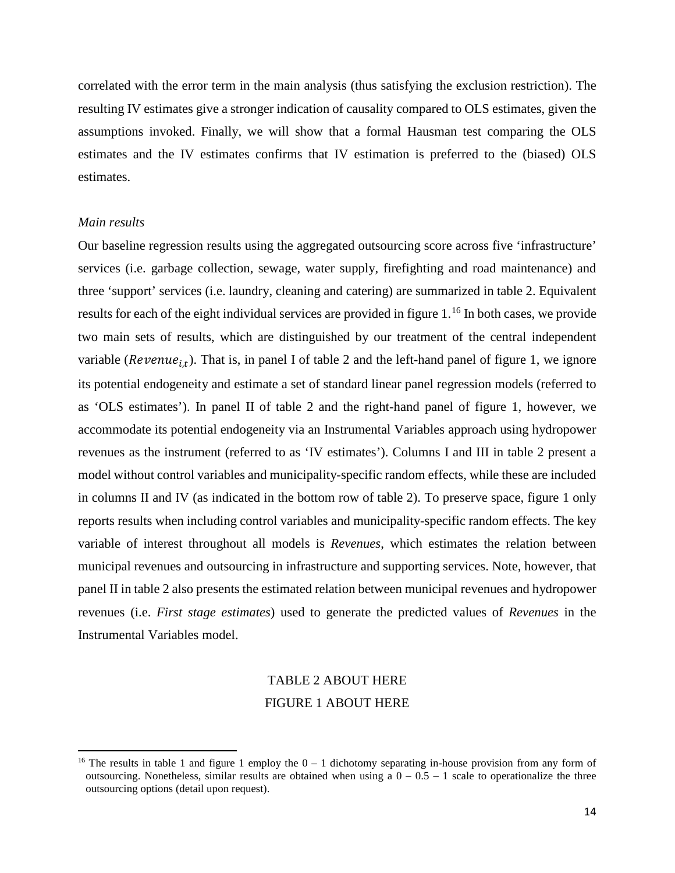correlated with the error term in the main analysis (thus satisfying the exclusion restriction). The resulting IV estimates give a stronger indication of causality compared to OLS estimates, given the assumptions invoked. Finally, we will show that a formal Hausman test comparing the OLS estimates and the IV estimates confirms that IV estimation is preferred to the (biased) OLS estimates.

#### *Main results*

 $\overline{a}$ 

Our baseline regression results using the aggregated outsourcing score across five 'infrastructure' services (i.e. garbage collection, sewage, water supply, firefighting and road maintenance) and three 'support' services (i.e. laundry, cleaning and catering) are summarized in table 2. Equivalent results for each of the eight individual services are provided in figure 1.<sup>[16](#page-14-0)</sup> In both cases, we provide two main sets of results, which are distinguished by our treatment of the central independent variable ( $Revenue_{i,t}$ ). That is, in panel I of table 2 and the left-hand panel of figure 1, we ignore its potential endogeneity and estimate a set of standard linear panel regression models (referred to as 'OLS estimates'). In panel II of table 2 and the right-hand panel of figure 1, however, we accommodate its potential endogeneity via an Instrumental Variables approach using hydropower revenues as the instrument (referred to as 'IV estimates'). Columns I and III in table 2 present a model without control variables and municipality-specific random effects, while these are included in columns II and IV (as indicated in the bottom row of table 2). To preserve space, figure 1 only reports results when including control variables and municipality-specific random effects. The key variable of interest throughout all models is *Revenues*, which estimates the relation between municipal revenues and outsourcing in infrastructure and supporting services. Note, however, that panel II in table 2 also presents the estimated relation between municipal revenues and hydropower revenues (i.e. *First stage estimates*) used to generate the predicted values of *Revenues* in the Instrumental Variables model.

# TABLE 2 ABOUT HERE FIGURE 1 ABOUT HERE

<span id="page-14-0"></span><sup>&</sup>lt;sup>16</sup> The results in table 1 and figure 1 employ the  $0 - 1$  dichotomy separating in-house provision from any form of outsourcing. Nonetheless, similar results are obtained when using a  $0 - 0.5 - 1$  scale to operationalize the three outsourcing options (detail upon request).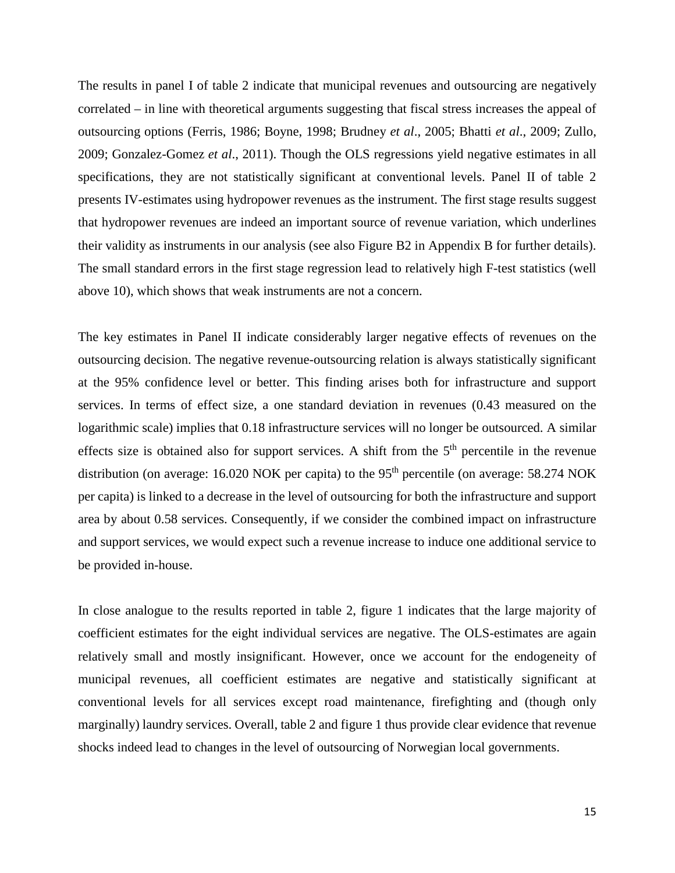The results in panel I of table 2 indicate that municipal revenues and outsourcing are negatively correlated – in line with theoretical arguments suggesting that fiscal stress increases the appeal of outsourcing options (Ferris, 1986; Boyne, 1998; Brudney *et al*., 2005; Bhatti *et al*., 2009; Zullo, 2009; Gonzalez-Gomez *et al*., 2011). Though the OLS regressions yield negative estimates in all specifications, they are not statistically significant at conventional levels. Panel II of table 2 presents IV-estimates using hydropower revenues as the instrument. The first stage results suggest that hydropower revenues are indeed an important source of revenue variation, which underlines their validity as instruments in our analysis (see also Figure B2 in Appendix B for further details). The small standard errors in the first stage regression lead to relatively high F-test statistics (well above 10), which shows that weak instruments are not a concern.

The key estimates in Panel II indicate considerably larger negative effects of revenues on the outsourcing decision. The negative revenue-outsourcing relation is always statistically significant at the 95% confidence level or better. This finding arises both for infrastructure and support services. In terms of effect size, a one standard deviation in revenues (0.43 measured on the logarithmic scale) implies that 0.18 infrastructure services will no longer be outsourced. A similar effects size is obtained also for support services. A shift from the  $5<sup>th</sup>$  percentile in the revenue distribution (on average: 16.020 NOK per capita) to the  $95<sup>th</sup>$  percentile (on average: 58.274 NOK per capita) is linked to a decrease in the level of outsourcing for both the infrastructure and support area by about 0.58 services. Consequently, if we consider the combined impact on infrastructure and support services, we would expect such a revenue increase to induce one additional service to be provided in-house.

In close analogue to the results reported in table 2, figure 1 indicates that the large majority of coefficient estimates for the eight individual services are negative. The OLS-estimates are again relatively small and mostly insignificant. However, once we account for the endogeneity of municipal revenues, all coefficient estimates are negative and statistically significant at conventional levels for all services except road maintenance, firefighting and (though only marginally) laundry services. Overall, table 2 and figure 1 thus provide clear evidence that revenue shocks indeed lead to changes in the level of outsourcing of Norwegian local governments.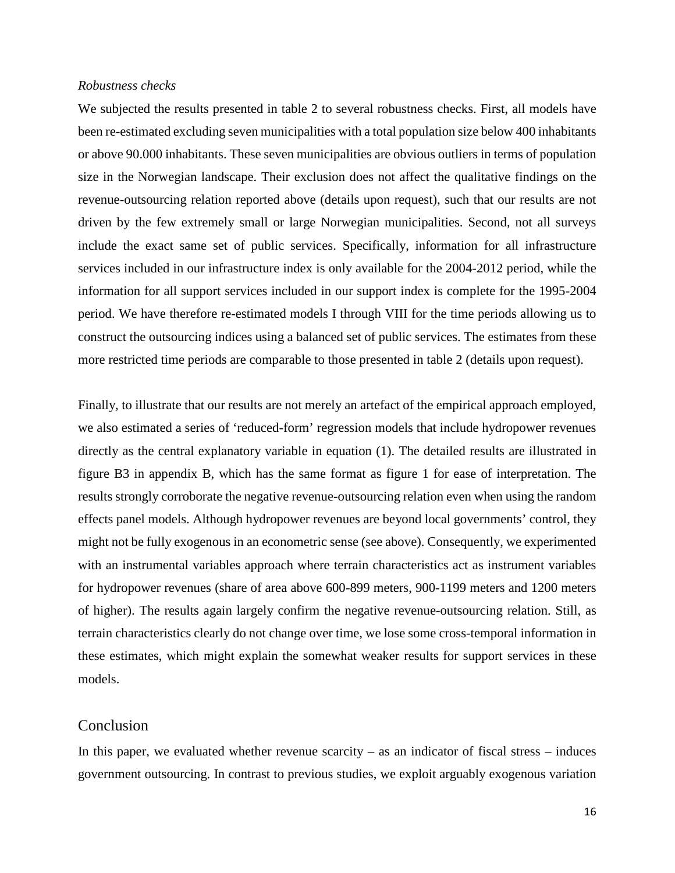#### *Robustness checks*

We subjected the results presented in table 2 to several robustness checks. First, all models have been re-estimated excluding seven municipalities with a total population size below 400 inhabitants or above 90.000 inhabitants. These seven municipalities are obvious outliers in terms of population size in the Norwegian landscape. Their exclusion does not affect the qualitative findings on the revenue-outsourcing relation reported above (details upon request), such that our results are not driven by the few extremely small or large Norwegian municipalities. Second, not all surveys include the exact same set of public services. Specifically, information for all infrastructure services included in our infrastructure index is only available for the 2004-2012 period, while the information for all support services included in our support index is complete for the 1995-2004 period. We have therefore re-estimated models I through VIII for the time periods allowing us to construct the outsourcing indices using a balanced set of public services. The estimates from these more restricted time periods are comparable to those presented in table 2 (details upon request).

Finally, to illustrate that our results are not merely an artefact of the empirical approach employed, we also estimated a series of 'reduced-form' regression models that include hydropower revenues directly as the central explanatory variable in equation (1). The detailed results are illustrated in figure B3 in appendix B, which has the same format as figure 1 for ease of interpretation. The results strongly corroborate the negative revenue-outsourcing relation even when using the random effects panel models. Although hydropower revenues are beyond local governments' control, they might not be fully exogenous in an econometric sense (see above). Consequently, we experimented with an instrumental variables approach where terrain characteristics act as instrument variables for hydropower revenues (share of area above 600-899 meters, 900-1199 meters and 1200 meters of higher). The results again largely confirm the negative revenue-outsourcing relation. Still, as terrain characteristics clearly do not change over time, we lose some cross-temporal information in these estimates, which might explain the somewhat weaker results for support services in these models.

### Conclusion

In this paper, we evaluated whether revenue scarcity – as an indicator of fiscal stress – induces government outsourcing. In contrast to previous studies, we exploit arguably exogenous variation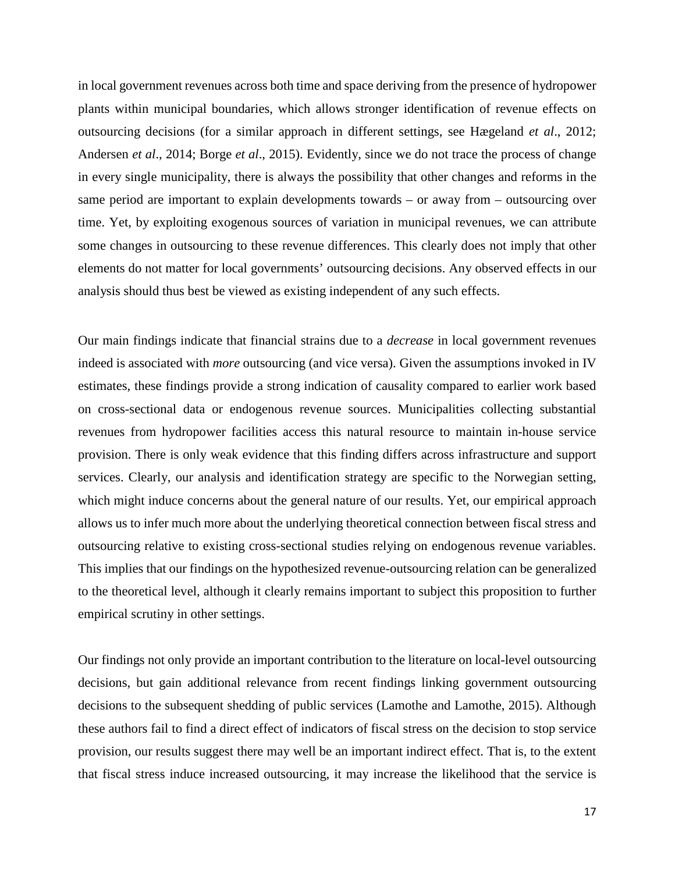in local government revenues across both time and space deriving from the presence of hydropower plants within municipal boundaries, which allows stronger identification of revenue effects on outsourcing decisions (for a similar approach in different settings, see Hægeland *et al*., 2012; Andersen *et al*., 2014; Borge *et al*., 2015). Evidently, since we do not trace the process of change in every single municipality, there is always the possibility that other changes and reforms in the same period are important to explain developments towards – or away from – outsourcing over time. Yet, by exploiting exogenous sources of variation in municipal revenues, we can attribute some changes in outsourcing to these revenue differences. This clearly does not imply that other elements do not matter for local governments' outsourcing decisions. Any observed effects in our analysis should thus best be viewed as existing independent of any such effects.

Our main findings indicate that financial strains due to a *decrease* in local government revenues indeed is associated with *more* outsourcing (and vice versa). Given the assumptions invoked in IV estimates, these findings provide a strong indication of causality compared to earlier work based on cross-sectional data or endogenous revenue sources. Municipalities collecting substantial revenues from hydropower facilities access this natural resource to maintain in-house service provision. There is only weak evidence that this finding differs across infrastructure and support services. Clearly, our analysis and identification strategy are specific to the Norwegian setting, which might induce concerns about the general nature of our results. Yet, our empirical approach allows us to infer much more about the underlying theoretical connection between fiscal stress and outsourcing relative to existing cross-sectional studies relying on endogenous revenue variables. This implies that our findings on the hypothesized revenue-outsourcing relation can be generalized to the theoretical level, although it clearly remains important to subject this proposition to further empirical scrutiny in other settings.

Our findings not only provide an important contribution to the literature on local-level outsourcing decisions, but gain additional relevance from recent findings linking government outsourcing decisions to the subsequent shedding of public services (Lamothe and Lamothe, 2015). Although these authors fail to find a direct effect of indicators of fiscal stress on the decision to stop service provision, our results suggest there may well be an important indirect effect. That is, to the extent that fiscal stress induce increased outsourcing, it may increase the likelihood that the service is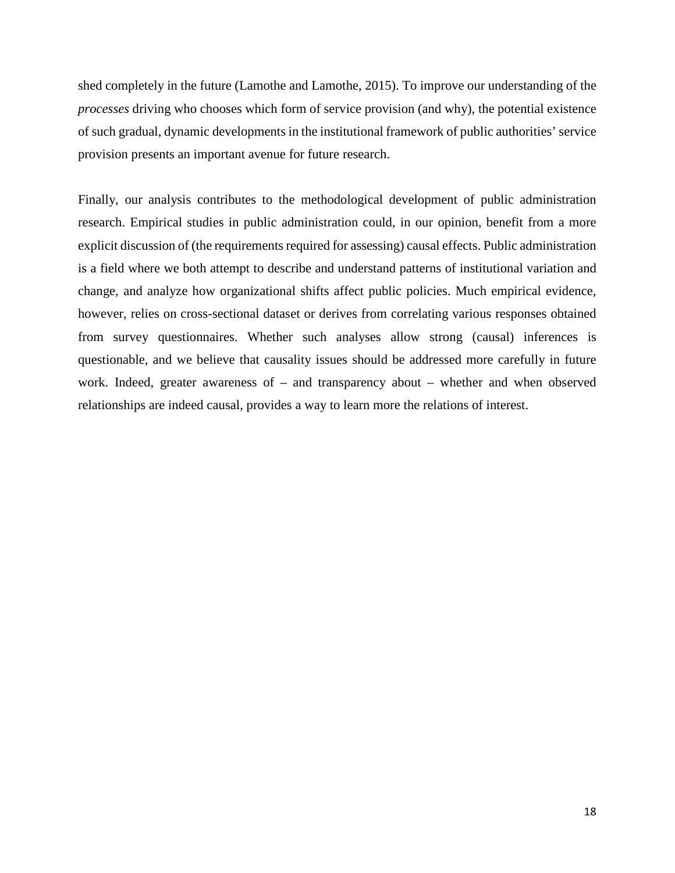shed completely in the future (Lamothe and Lamothe, 2015). To improve our understanding of the *processes* driving who chooses which form of service provision (and why), the potential existence of such gradual, dynamic developments in the institutional framework of public authorities' service provision presents an important avenue for future research.

Finally, our analysis contributes to the methodological development of public administration research. Empirical studies in public administration could, in our opinion, benefit from a more explicit discussion of (the requirements required for assessing) causal effects. Public administration is a field where we both attempt to describe and understand patterns of institutional variation and change, and analyze how organizational shifts affect public policies. Much empirical evidence, however, relies on cross-sectional dataset or derives from correlating various responses obtained from survey questionnaires. Whether such analyses allow strong (causal) inferences is questionable, and we believe that causality issues should be addressed more carefully in future work. Indeed, greater awareness of – and transparency about – whether and when observed relationships are indeed causal, provides a way to learn more the relations of interest.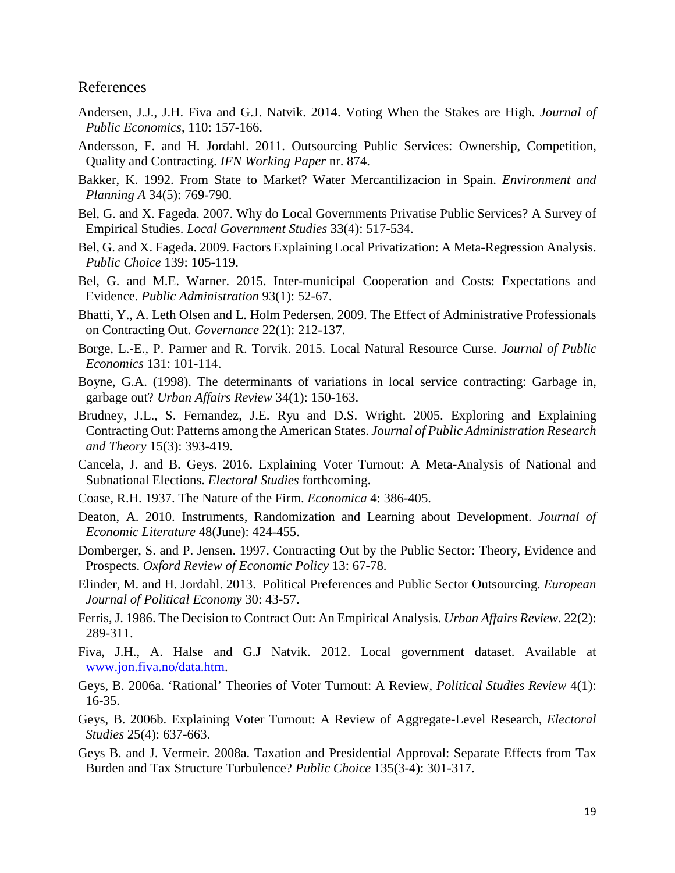# References

- Andersen, J.J., J.H. Fiva and G.J. Natvik. 2014. Voting When the Stakes are High. *Journal of Public Economics*, 110: 157-166.
- Andersson, F. and H. Jordahl. 2011. Outsourcing Public Services: Ownership, Competition, Quality and Contracting. *IFN Working Paper* nr. 874.
- Bakker, K. 1992. From State to Market? Water Mercantilizacion in Spain. *Environment and Planning A* 34(5): 769-790.
- Bel, G. and X. Fageda. 2007. Why do Local Governments Privatise Public Services? A Survey of Empirical Studies. *Local Government Studies* 33(4): 517-534.
- Bel, G. and X. Fageda. 2009. Factors Explaining Local Privatization: A Meta-Regression Analysis. *Public Choice* 139: 105-119.
- Bel, G. and M.E. Warner. 2015. Inter-municipal Cooperation and Costs: Expectations and Evidence. *Public Administration* 93(1): 52-67.
- Bhatti, Y., A. Leth Olsen and L. Holm Pedersen. 2009. The Effect of Administrative Professionals on Contracting Out. *Governance* 22(1): 212-137.
- Borge, L.-E., P. Parmer and R. Torvik. 2015. Local Natural Resource Curse. *Journal of Public Economics* 131: 101-114.
- Boyne, G.A. (1998). The determinants of variations in local service contracting: Garbage in, garbage out? *Urban Affairs Review* 34(1): 150-163.
- Brudney, J.L., S. Fernandez, J.E. Ryu and D.S. Wright. 2005. Exploring and Explaining Contracting Out: Patterns among the American States. *Journal of Public Administration Research and Theory* 15(3): 393-419.
- Cancela, J. and B. Geys. 2016. Explaining Voter Turnout: A Meta-Analysis of National and Subnational Elections. *Electoral Studies* forthcoming.
- Coase, R.H. 1937. The Nature of the Firm. *Economica* 4: 386-405.
- Deaton, A. 2010. Instruments, Randomization and Learning about Development. *Journal of Economic Literature* 48(June): 424-455.
- Domberger, S. and P. Jensen. 1997. Contracting Out by the Public Sector: Theory, Evidence and Prospects. *Oxford Review of Economic Policy* 13: 67-78.
- Elinder, M. and H. Jordahl. 2013. Political Preferences and Public Sector Outsourcing. *European Journal of Political Economy* 30: 43-57.
- Ferris, J. 1986. The Decision to Contract Out: An Empirical Analysis. *Urban Affairs Review*. 22(2): 289-311.
- Fiva, J.H., A. Halse and G.J Natvik. 2012. Local government dataset. Available at [www.jon.fiva.no/data.htm.](http://www.jon.fiva.no/data.htm)
- Geys, B. 2006a. 'Rational' Theories of Voter Turnout: A Review, *Political Studies Review* 4(1): 16-35.
- Geys, B. 2006b. Explaining Voter Turnout: A Review of Aggregate-Level Research, *Electoral Studies* 25(4): 637-663.
- Geys B. and J. Vermeir. 2008a. Taxation and Presidential Approval: Separate Effects from Tax Burden and Tax Structure Turbulence? *Public Choice* 135(3-4): 301-317.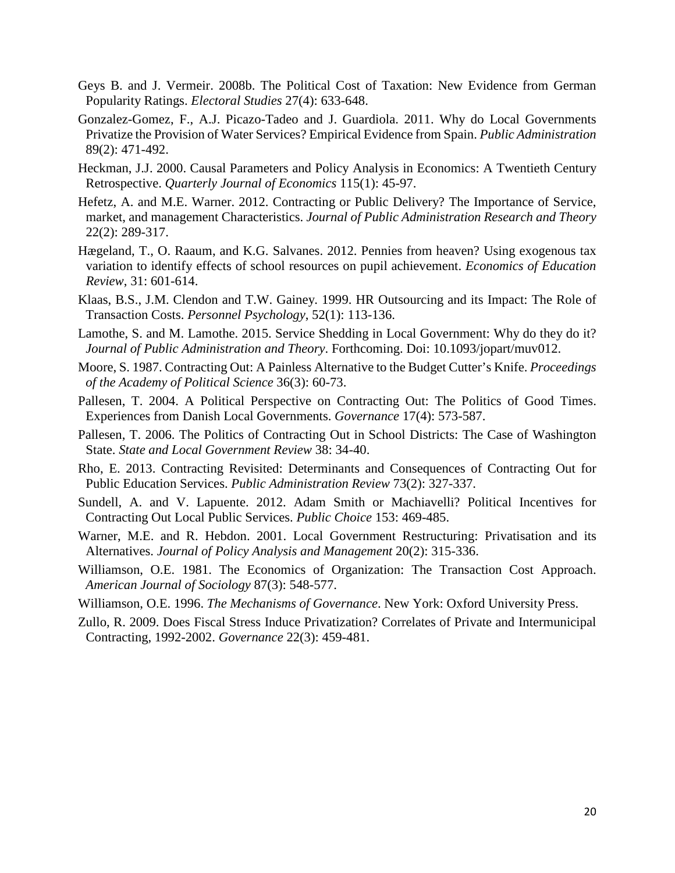- Geys B. and J. Vermeir. 2008b. The Political Cost of Taxation: New Evidence from German Popularity Ratings. *Electoral Studies* 27(4): 633-648.
- Gonzalez-Gomez, F., A.J. Picazo-Tadeo and J. Guardiola. 2011. Why do Local Governments Privatize the Provision of Water Services? Empirical Evidence from Spain. *Public Administration* 89(2): 471-492.
- Heckman, J.J. 2000. Causal Parameters and Policy Analysis in Economics: A Twentieth Century Retrospective. *Quarterly Journal of Economics* 115(1): 45-97.
- Hefetz, A. and M.E. Warner. 2012. Contracting or Public Delivery? The Importance of Service, market, and management Characteristics. *Journal of Public Administration Research and Theory* 22(2): 289-317.
- Hægeland, T., O. Raaum, and K.G. Salvanes. 2012. Pennies from heaven? Using exogenous tax variation to identify effects of school resources on pupil achievement. *Economics of Education Review*, 31: 601-614.
- Klaas, B.S., J.M. Clendon and T.W. Gainey. 1999. HR Outsourcing and its Impact: The Role of Transaction Costs. *Personnel Psychology*, 52(1): 113-136.
- Lamothe, S. and M. Lamothe. 2015. Service Shedding in Local Government: Why do they do it? *Journal of Public Administration and Theory*. Forthcoming. Doi: 10.1093/jopart/muv012.
- Moore, S. 1987. Contracting Out: A Painless Alternative to the Budget Cutter's Knife. *Proceedings of the Academy of Political Science* 36(3): 60-73.
- Pallesen, T. 2004. A Political Perspective on Contracting Out: The Politics of Good Times. Experiences from Danish Local Governments. *Governance* 17(4): 573-587.
- Pallesen, T. 2006. The Politics of Contracting Out in School Districts: The Case of Washington State. *State and Local Government Review* 38: 34-40.
- Rho, E. 2013. Contracting Revisited: Determinants and Consequences of Contracting Out for Public Education Services. *Public Administration Review* 73(2): 327-337.
- Sundell, A. and V. Lapuente. 2012. Adam Smith or Machiavelli? Political Incentives for Contracting Out Local Public Services. *Public Choice* 153: 469-485.
- Warner, M.E. and R. Hebdon. 2001. Local Government Restructuring: Privatisation and its Alternatives. *Journal of Policy Analysis and Management* 20(2): 315-336.
- Williamson, O.E. 1981. The Economics of Organization: The Transaction Cost Approach. *American Journal of Sociology* 87(3): 548-577.
- Williamson, O.E. 1996. *The Mechanisms of Governance*. New York: Oxford University Press.
- Zullo, R. 2009. Does Fiscal Stress Induce Privatization? Correlates of Private and Intermunicipal Contracting, 1992-2002. *Governance* 22(3): 459-481.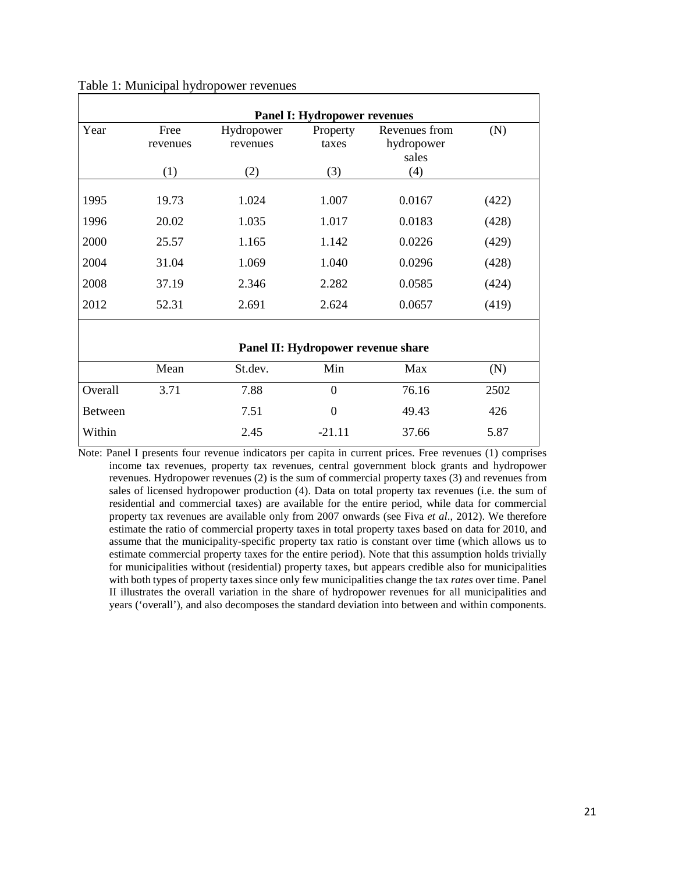| <b>Panel I: Hydropower revenues</b> |                  |                        |                   |                                      |       |  |  |  |  |
|-------------------------------------|------------------|------------------------|-------------------|--------------------------------------|-------|--|--|--|--|
| Year                                | Free<br>revenues | Hydropower<br>revenues | Property<br>taxes | Revenues from<br>hydropower<br>sales | (N)   |  |  |  |  |
|                                     | (1)              | (2)                    | (3)               | (4)                                  |       |  |  |  |  |
| 1995                                | 19.73            | 1.024                  | 1.007             | 0.0167                               | (422) |  |  |  |  |
| 1996                                | 20.02            | 1.035                  | 1.017             | 0.0183                               | (428) |  |  |  |  |
| 2000                                | 25.57            | 1.165                  | 1.142             | 0.0226                               | (429) |  |  |  |  |
| 2004                                | 31.04            | 1.069                  | 1.040             | 0.0296                               | (428) |  |  |  |  |
| 2008                                | 37.19            | 2.346                  | 2.282             | 0.0585                               | (424) |  |  |  |  |
| 2012                                | 52.31            | 2.691                  | 2.624             | 0.0657                               | (419) |  |  |  |  |
|                                     |                  |                        |                   |                                      |       |  |  |  |  |
| Panel II: Hydropower revenue share  |                  |                        |                   |                                      |       |  |  |  |  |
|                                     | Mean             | St.dev.                | Min               | Max                                  | (N)   |  |  |  |  |
| Overall                             | 3.71             | 7.88                   | $\overline{0}$    | 76.16                                | 2502  |  |  |  |  |
| Between                             |                  | 7.51                   | $\overline{0}$    | 49.43                                | 426   |  |  |  |  |

#### Table 1: Municipal hydropower revenues

Note: Panel I presents four revenue indicators per capita in current prices. Free revenues (1) comprises income tax revenues, property tax revenues, central government block grants and hydropower revenues. Hydropower revenues (2) is the sum of commercial property taxes (3) and revenues from sales of licensed hydropower production (4). Data on total property tax revenues (i.e. the sum of residential and commercial taxes) are available for the entire period, while data for commercial property tax revenues are available only from 2007 onwards (see Fiva *et al*., 2012). We therefore estimate the ratio of commercial property taxes in total property taxes based on data for 2010, and assume that the municipality-specific property tax ratio is constant over time (which allows us to estimate commercial property taxes for the entire period). Note that this assumption holds trivially for municipalities without (residential) property taxes, but appears credible also for municipalities with both types of property taxes since only few municipalities change the tax *rates* over time. Panel II illustrates the overall variation in the share of hydropower revenues for all municipalities and years ('overall'), and also decomposes the standard deviation into between and within components.

Within 2.45 -21.11 37.66 5.87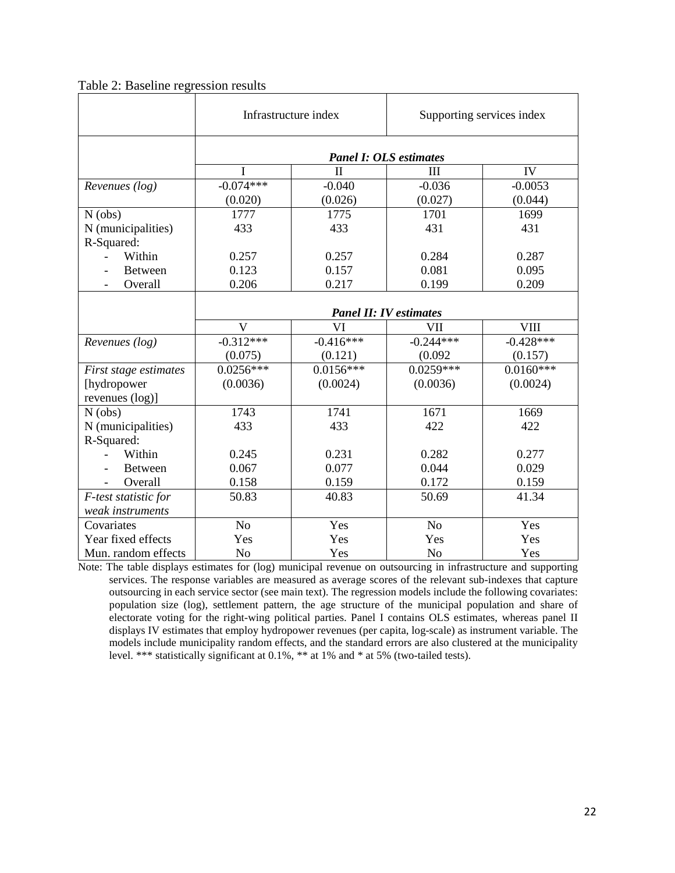|                       |                               | Infrastructure index | Supporting services index |                |  |  |
|-----------------------|-------------------------------|----------------------|---------------------------|----------------|--|--|
|                       | <b>Panel I: OLS estimates</b> |                      |                           |                |  |  |
|                       |                               | $\mathbf{I}$         | III                       | IV             |  |  |
| Revenues (log)        | $-0.074***$                   | $-0.040$             | $-0.036$                  | $-0.0053$      |  |  |
|                       | (0.020)                       | (0.026)              | (0.027)                   | (0.044)        |  |  |
| $N$ (obs)             | 1777                          | 1775                 | 1701                      | 1699           |  |  |
| N (municipalities)    | 433                           | 433                  | 431                       | 431            |  |  |
| R-Squared:            |                               |                      |                           |                |  |  |
| Within                | 0.257                         | 0.257                | 0.284                     | 0.287<br>0.095 |  |  |
| <b>Between</b>        | 0.123                         | 0.157                | 0.081                     |                |  |  |
| Overall               | 0.206                         | 0.217                | 0.199                     | 0.209          |  |  |
|                       | <b>Panel II: IV estimates</b> |                      |                           |                |  |  |
|                       | $\mathbf{V}$                  | VI                   | VII                       | <b>VIII</b>    |  |  |
| Revenues (log)        | $-0.312***$                   | $-0.416***$          | $-0.244***$               | $-0.428***$    |  |  |
|                       | (0.075)                       | (0.121)              | (0.092)                   | (0.157)        |  |  |
| First stage estimates | $0.0256***$                   | $0.0156***$          | $0.0259***$               | $0.0160***$    |  |  |
| [hydropower           | (0.0036)                      | (0.0024)             | (0.0036)                  | (0.0024)       |  |  |
| revenues (log)]       |                               |                      |                           |                |  |  |
| $N$ (obs)             | 1743                          | 1741                 | 1671                      | 1669           |  |  |
| N (municipalities)    | 433                           | 433                  | 422                       | 422            |  |  |
| R-Squared:            |                               |                      |                           |                |  |  |
| Within                | 0.245                         | 0.231                | 0.282                     | 0.277          |  |  |
| <b>Between</b>        | 0.067                         | 0.077                | 0.044                     | 0.029          |  |  |
| Overall               | 0.158                         | 0.159                | 0.172                     | 0.159          |  |  |
| F-test statistic for  | 50.83                         | 40.83                | 50.69                     | 41.34          |  |  |
| weak instruments      |                               |                      |                           |                |  |  |
| Covariates            | No                            | Yes                  | N <sub>o</sub>            | Yes            |  |  |
| Year fixed effects    | Yes                           | Yes                  | Yes                       | Yes            |  |  |
| Mun. random effects   | N <sub>o</sub>                | Yes                  | No                        | Yes            |  |  |

## Table 2: Baseline regression results

Note: The table displays estimates for (log) municipal revenue on outsourcing in infrastructure and supporting services. The response variables are measured as average scores of the relevant sub-indexes that capture outsourcing in each service sector (see main text). The regression models include the following covariates: population size (log), settlement pattern, the age structure of the municipal population and share of electorate voting for the right-wing political parties. Panel I contains OLS estimates, whereas panel II displays IV estimates that employ hydropower revenues (per capita, log-scale) as instrument variable. The models include municipality random effects, and the standard errors are also clustered at the municipality level. \*\*\* statistically significant at 0.1%, \*\* at 1% and \* at 5% (two-tailed tests).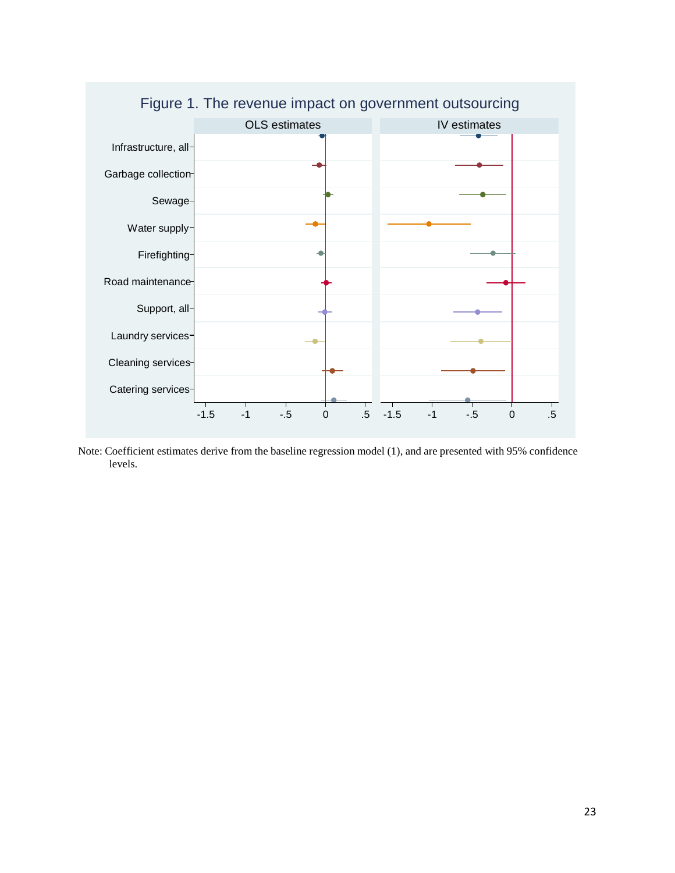

Figure 1. The revenue impact on government outsourcing

Note: Coefficient estimates derive from the baseline regression model (1), and are presented with 95% confidence levels.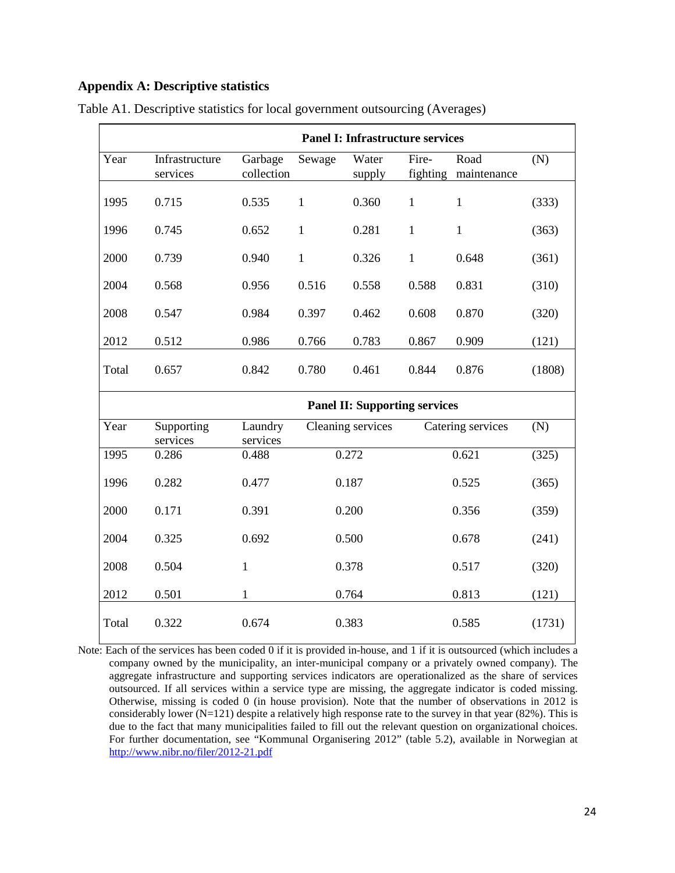## **Appendix A: Descriptive statistics**

|       | <b>Panel I: Infrastructure services</b> |                       |                   |                 |                   |                     |        |  |  |
|-------|-----------------------------------------|-----------------------|-------------------|-----------------|-------------------|---------------------|--------|--|--|
| Year  | Infrastructure<br>services              | Garbage<br>collection | Sewage            | Water<br>supply | Fire-<br>fighting | Road<br>maintenance | (N)    |  |  |
| 1995  | 0.715                                   | 0.535                 | $\mathbf{1}$      | 0.360           | $\mathbf{1}$      | $\mathbf{1}$        | (333)  |  |  |
| 1996  | 0.745                                   | 0.652                 | $\mathbf{1}$      | 0.281           | $\mathbf{1}$      | $\mathbf{1}$        | (363)  |  |  |
| 2000  | 0.739                                   | 0.940                 | $\mathbf{1}$      | 0.326           | $\mathbf{1}$      | 0.648               | (361)  |  |  |
| 2004  | 0.568                                   | 0.956                 | 0.516             | 0.558           | 0.588             | 0.831               | (310)  |  |  |
| 2008  | 0.547                                   | 0.984                 | 0.397             | 0.462           | 0.608             | 0.870               | (320)  |  |  |
| 2012  | 0.512                                   | 0.986                 | 0.766             | 0.783           | 0.867             | 0.909               | (121)  |  |  |
| Total | 0.657                                   | 0.842                 | 0.780             | 0.461           | 0.844             | 0.876               | (1808) |  |  |
|       | <b>Panel II: Supporting services</b>    |                       |                   |                 |                   |                     |        |  |  |
| Year  | Supporting<br>services                  | Laundry<br>services   | Cleaning services |                 | Catering services |                     | (N)    |  |  |
| 1995  | 0.286                                   | 0.488                 |                   | 0.272           |                   | 0.621               | (325)  |  |  |
| 1996  | 0.282                                   | 0.477                 |                   | 0.187           |                   | 0.525               | (365)  |  |  |
| 2000  | 0.171                                   | 0.391                 |                   | 0.200           |                   | 0.356               | (359)  |  |  |
| 2004  | 0.325                                   | 0.692                 |                   | 0.500           |                   | 0.678               | (241)  |  |  |
| 2008  | 0.504                                   | $\mathbf{1}$          |                   | 0.378           |                   | 0.517               | (320)  |  |  |
| 2012  | 0.501                                   | 1                     |                   | 0.764           |                   | 0.813               | (121)  |  |  |
| Total | 0.322                                   | 0.674                 |                   | 0.383           |                   | 0.585               | (1731) |  |  |

Table A1. Descriptive statistics for local government outsourcing (Averages)

Note: Each of the services has been coded 0 if it is provided in-house, and 1 if it is outsourced (which includes a company owned by the municipality, an inter-municipal company or a privately owned company). The aggregate infrastructure and supporting services indicators are operationalized as the share of services outsourced. If all services within a service type are missing, the aggregate indicator is coded missing. Otherwise, missing is coded 0 (in house provision). Note that the number of observations in 2012 is considerably lower  $(N=121)$  despite a relatively high response rate to the survey in that year  $(82%)$ . This is due to the fact that many municipalities failed to fill out the relevant question on organizational choices. For further documentation, see "Kommunal Organisering 2012" (table 5.2), available in Norwegian at <http://www.nibr.no/filer/2012-21.pdf>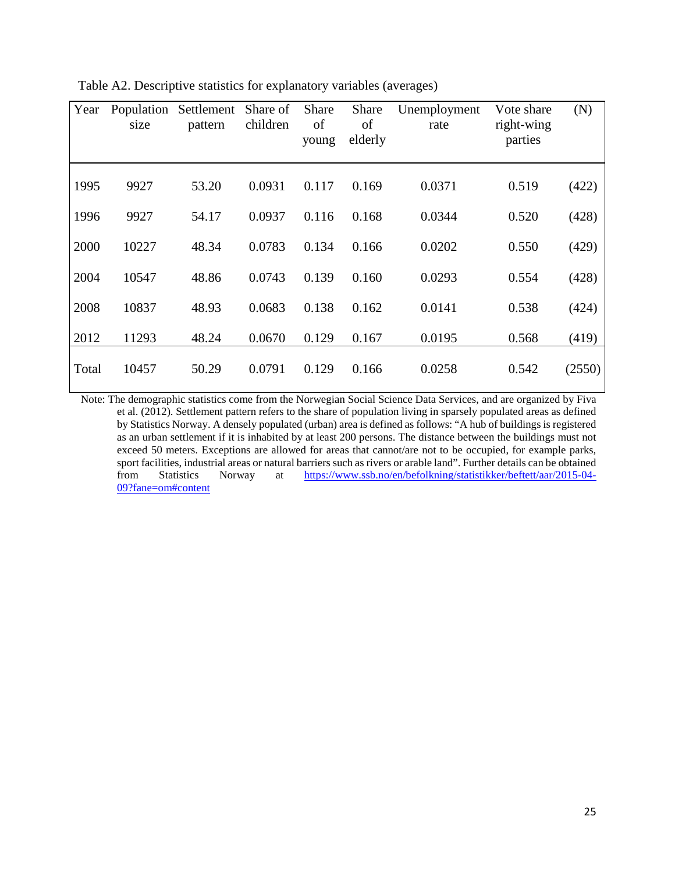| Year  | Population<br>size | Settlement<br>pattern | Share of<br>children | Share<br>of<br>young | Share<br>of<br>elderly | Unemployment<br>rate | Vote share<br>right-wing<br>parties | (N)    |
|-------|--------------------|-----------------------|----------------------|----------------------|------------------------|----------------------|-------------------------------------|--------|
| 1995  | 9927               | 53.20                 | 0.0931               | 0.117                | 0.169                  | 0.0371               | 0.519                               | (422)  |
| 1996  | 9927               | 54.17                 | 0.0937               | 0.116                | 0.168                  | 0.0344               | 0.520                               | (428)  |
| 2000  | 10227              | 48.34                 | 0.0783               | 0.134                | 0.166                  | 0.0202               | 0.550                               | (429)  |
| 2004  | 10547              | 48.86                 | 0.0743               | 0.139                | 0.160                  | 0.0293               | 0.554                               | (428)  |
| 2008  | 10837              | 48.93                 | 0.0683               | 0.138                | 0.162                  | 0.0141               | 0.538                               | (424)  |
| 2012  | 11293              | 48.24                 | 0.0670               | 0.129                | 0.167                  | 0.0195               | 0.568                               | (419)  |
| Total | 10457              | 50.29                 | 0.0791               | 0.129                | 0.166                  | 0.0258               | 0.542                               | (2550) |

Table A2. Descriptive statistics for explanatory variables (averages)

Note: The demographic statistics come from the Norwegian Social Science Data Services, and are organized by Fiva et al. (2012). Settlement pattern refers to the share of population living in sparsely populated areas as defined by Statistics Norway. A densely populated (urban) area is defined as follows: "A hub of buildings is registered as an urban settlement if it is inhabited by at least 200 persons. The distance between the buildings must not exceed 50 meters. Exceptions are allowed for areas that cannot/are not to be occupied, for example parks, sport facilities, industrial areas or natural barriers such as rivers or arable land". Further details can be obtained<br>from Statistics Norway at https://www.ssb.no/en/befolkning/statistikker/beftett/aar/2015-04at [https://www.ssb.no/en/befolkning/statistikker/beftett/aar/2015-04-](https://www.ssb.no/en/befolkning/statistikker/beftett/aar/2015-04-09?fane=om#content) [09?fane=om#content](https://www.ssb.no/en/befolkning/statistikker/beftett/aar/2015-04-09?fane=om#content)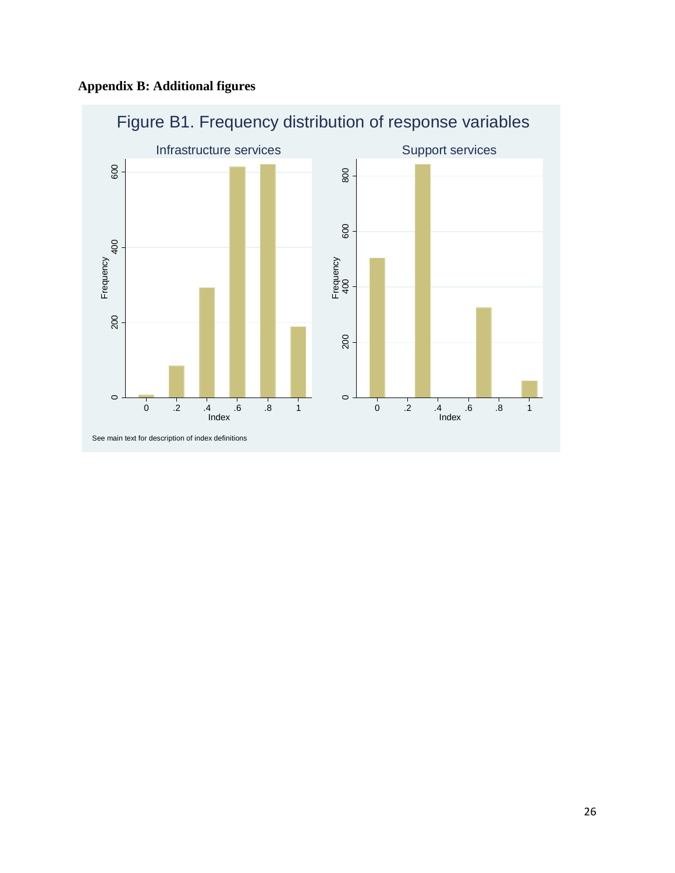

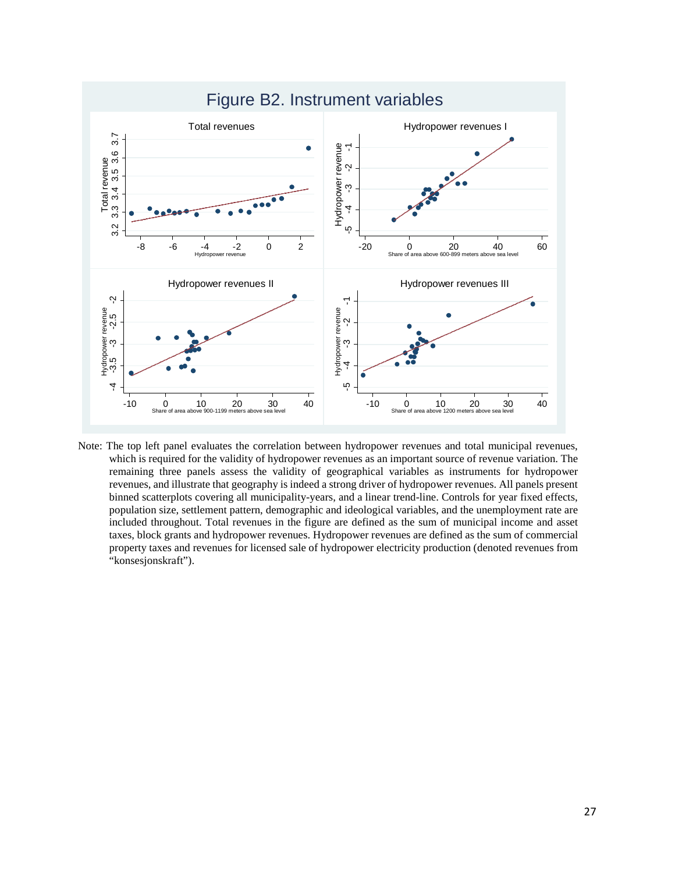

Note: The top left panel evaluates the correlation between hydropower revenues and total municipal revenues, which is required for the validity of hydropower revenues as an important source of revenue variation. The remaining three panels assess the validity of geographical variables as instruments for hydropower revenues, and illustrate that geography is indeed a strong driver of hydropower revenues. All panels present binned scatterplots covering all municipality-years, and a linear trend-line. Controls for year fixed effects, population size, settlement pattern, demographic and ideological variables, and the unemployment rate are included throughout. Total revenues in the figure are defined as the sum of municipal income and asset taxes, block grants and hydropower revenues. Hydropower revenues are defined as the sum of commercial property taxes and revenues for licensed sale of hydropower electricity production (denoted revenues from "konsesjonskraft").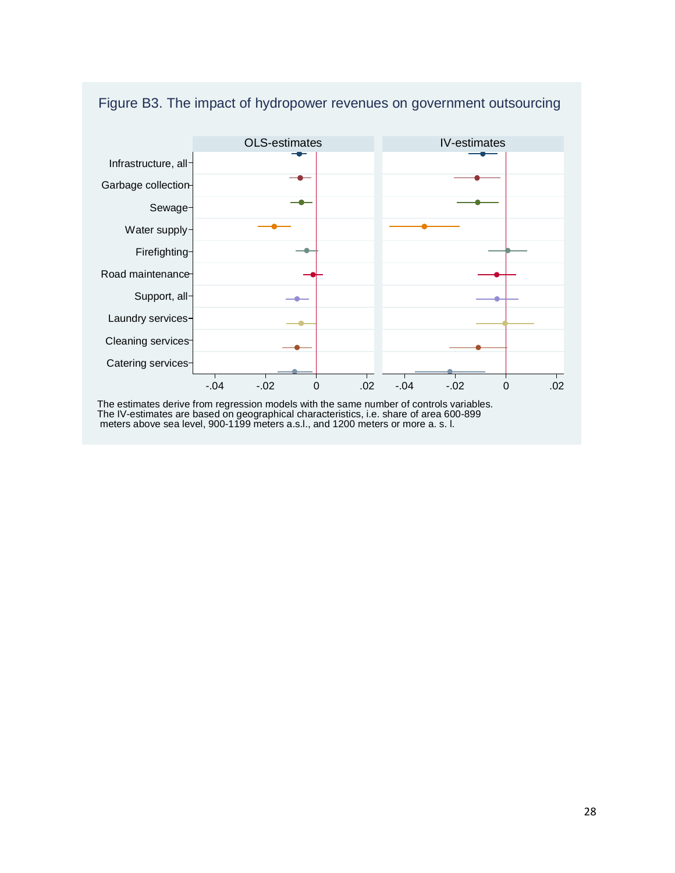

# Figure B3. The impact of hydropower revenues on government outsourcing

The estimates derive from regression models with the same number of controls variables. The IV-estimates are based on geographical characteristics, i.e. share of area 600-899 meters above sea level, 900-1199 meters a.s.l., and 1200 meters or more a. s. l.